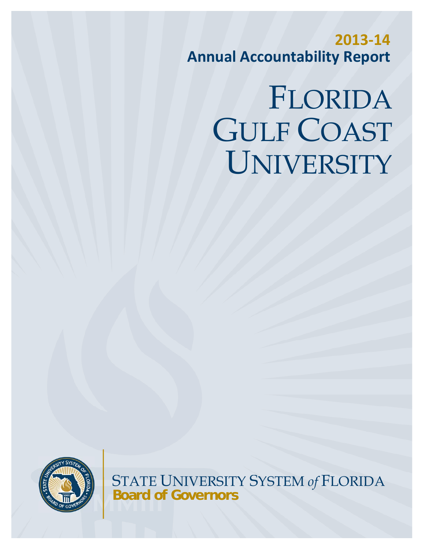**2013‐14 Annual Accountability Report**

# FLORIDA GULF COAST UNIVERSITY



STATE UNIVERSITY SYSTEM *of* FLORIDA **Board of Governors**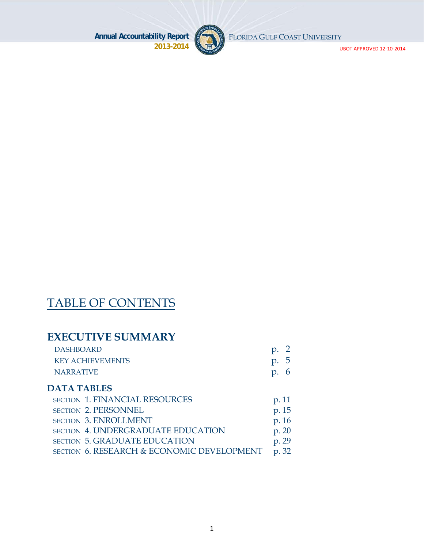UBOT APPROVED 12‐10‐2014





## TABLE OF CONTENTS

### **EXECUTIVE SUMMARY**

| <b>DASHBOARD</b>        | $\mathfrak{p}$ . |
|-------------------------|------------------|
| <b>KEY ACHIEVEMENTS</b> | p.5              |
| <b>NARRATIVE</b>        | p.6              |

#### **DATA TABLES**

| <b>SECTION 1. FINANCIAL RESOURCES</b>      | p. 11 |
|--------------------------------------------|-------|
| SECTION 2. PERSONNEL                       | p. 15 |
| <b>SECTION 3. ENROLLMENT</b>               | p. 16 |
| <b>SECTION 4. UNDERGRADUATE EDUCATION</b>  | p. 20 |
| <b>SECTION 5. GRADUATE EDUCATION</b>       | p. 29 |
| SECTION 6. RESEARCH & ECONOMIC DEVELOPMENT | p. 32 |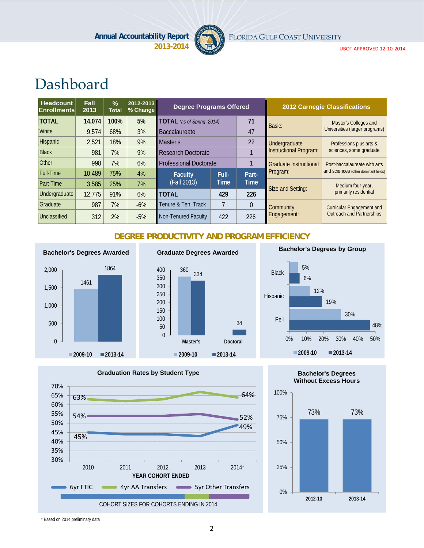

FLORIDA GULF COAST UNIVERSITY

UBOT APPROVED 12‐10‐2014

# Dashboard

| Headcount<br><b>Enrollments</b> | Fall<br>2013 | $\frac{9}{6}$<br><b>Total</b> | 2012-2013<br>% Change | <b>Degree Programs Offered</b>   |       |             |                               | <b>2012 Carnegie Classifications</b> |
|---------------------------------|--------------|-------------------------------|-----------------------|----------------------------------|-------|-------------|-------------------------------|--------------------------------------|
| <b>TOTAL</b>                    | 14,074       | 100%                          | 5%                    | <b>TOTAL</b> (as of Spring 2014) |       | 71          | Basic:                        | Master's Colleges and                |
| <b>White</b>                    | 9,574        | 68%                           | 3%                    | <b>Baccalaureate</b>             | 47    |             |                               | Universities (larger programs)       |
| Hispanic                        | 2,521        | 18%                           | 9%                    | Master's                         |       | 22          | Undergraduate                 | Professions plus arts &              |
| <b>Black</b>                    | 981          | 7%                            | 9%                    | <b>Research Doctorate</b>        |       |             | <b>Instructional Program:</b> | sciences, some graduate              |
| Other                           | 998          | 7%                            | 6%                    | <b>Professional Doctorate</b>    |       |             | <b>Graduate Instructional</b> | Post-baccalaureate with arts         |
| <b>Full-Time</b>                | 10,489       | 75%                           | 4%                    | <b>Faculty</b>                   | Full- | Part-       | Program:                      | and sciences (other dominant fields) |
| <b>Part-Time</b>                | 3,585        | 25%                           | 7%                    | (Fall 2013)                      | Time  | <b>Time</b> | Size and Setting:             | Medium four-year,                    |
| Undergraduate                   | 12.775       | 91%                           | 6%                    | <b>TOTAL</b>                     | 429   | 226         |                               | primarily residential                |
| Graduate                        | 987          | 7%                            | $-6%$                 | Tenure & Ten. Track              |       | $\theta$    | Community                     | <b>Curricular Engagement and</b>     |
| Unclassified                    | 312          | 2%                            | $-5%$                 | Non-Tenured Faculty              | 422   | 226         | Engagement:                   | <b>Outreach and Partnerships</b>     |

#### **DEGREE PRODUCTIVITY AND PROGRAM EFFICIENCY**



### **Graduate Degrees Awarded**









**2012-13 2013-14**



0%



\* Based on 2014 preliminary data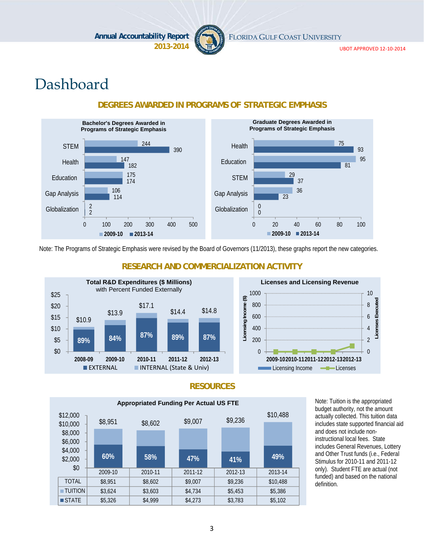

FLORIDA GULF COAST UNIVERSITY

UBOT APPROVED 12‐10‐2014

# Dashboard



#### **DEGREES AWARDED IN PROGRAMS OF STRATEGIC EMPHASIS**

Note: The Programs of Strategic Emphasis were revised by the Board of Governors (11/2013), these graphs report the new categories.



#### **RESEARCH AND COMMERCIALIZATION ACTIVITY**



#### **RESOURCES**



Note: Tuition is the appropriated budget authority, not the amount actually collected. This tuition data includes state supported financial aid and does not include noninstructional local fees. State includes General Revenues, Lottery and Other Trust funds (i.e., Federal Stimulus for 2010-11 and 2011-12 only). Student FTE are actual (not funded) and based on the national definition.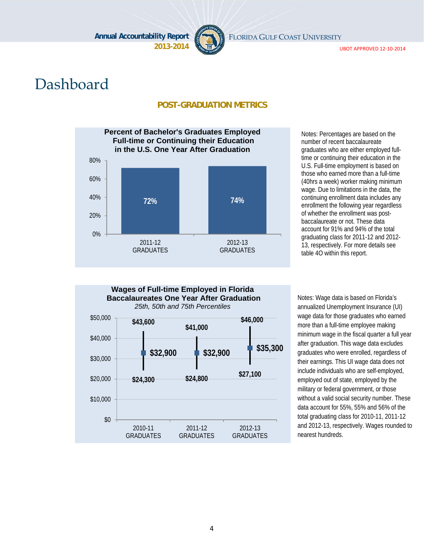

FLORIDA GULF COAST UNIVERSITY

UBOT APPROVED 12‐10‐2014

# Dashboard

#### **POST-GRADUATION METRICS**



Notes: Percentages are based on the number of recent baccalaureate graduates who are either employed fulltime or continuing their education in the U.S. Full-time employment is based on those who earned more than a full-time (40hrs a week) worker making minimum wage. Due to limitations in the data, the continuing enrollment data includes any enrollment the following year regardless of whether the enrollment was postbaccalaureate or not. These data account for 91% and 94% of the total graduating class for 2011-12 and 2012- 13, respectively. For more details see table 4O within this report.



Notes: Wage data is based on Florida's annualized Unemployment Insurance (UI) wage data for those graduates who earned more than a full-time employee making minimum wage in the fiscal quarter a full year after graduation. This wage data excludes graduates who were enrolled, regardless of their earnings. This UI wage data does not include individuals who are self-employed, employed out of state, employed by the military or federal government, or those without a valid social security number. These data account for 55%, 55% and 56% of the total graduating class for 2010-11, 2011-12 and 2012-13, respectively. Wages rounded to nearest hundreds.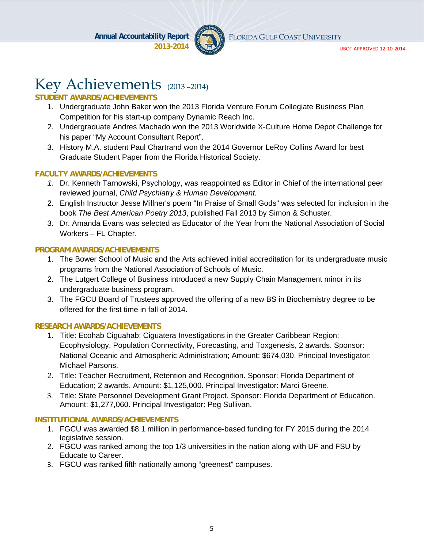

FLORIDA GULF COAST UNIVERSITY

UBOT APPROVED 12‐10‐2014

# Key Achievements (2013-2014)

#### **STUDENT AWARDS/ACHIEVEMENTS**

- 1. Undergraduate John Baker won the 2013 Florida Venture Forum Collegiate Business Plan Competition for his start-up company Dynamic Reach Inc.
- 2. Undergraduate Andres Machado won the 2013 Worldwide X-Culture Home Depot Challenge for his paper "My Account Consultant Report".
- 3. History M.A. student Paul Chartrand won the 2014 Governor LeRoy Collins Award for best Graduate Student Paper from the Florida Historical Society.

#### **FACULTY AWARDS/ACHIEVEMENTS**

- *1.* Dr. Kenneth Tarnowski, Psychology, was reappointed as Editor in Chief of the international peer reviewed journal, *Child Psychiatry & Human Development.*
- 2. English Instructor Jesse Millner's poem "In Praise of Small Gods" was selected for inclusion in the book *The Best American Poetry 2013*, published Fall 2013 by Simon & Schuster.
- 3. Dr. Amanda Evans was selected as Educator of the Year from the National Association of Social Workers – FL Chapter.

#### **PROGRAM AWARDS/ACHIEVEMENTS**

- 1. The Bower School of Music and the Arts achieved initial accreditation for its undergraduate music programs from the National Association of Schools of Music.
- 2. The Lutgert College of Business introduced a new Supply Chain Management minor in its undergraduate business program.
- 3. The FGCU Board of Trustees approved the offering of a new BS in Biochemistry degree to be offered for the first time in fall of 2014.

#### **RESEARCH AWARDS/ACHIEVEMENTS**

- 1. Title: Ecohab Ciguahab: Ciguatera Investigations in the Greater Caribbean Region: Ecophysiology, Population Connectivity, Forecasting, and Toxgenesis, 2 awards. Sponsor: National Oceanic and Atmospheric Administration; Amount: \$674,030. Principal Investigator: Michael Parsons.
- 2. Title: Teacher Recruitment, Retention and Recognition. Sponsor: Florida Department of Education; 2 awards. Amount: \$1,125,000. Principal Investigator: Marci Greene.
- 3. Title: State Personnel Development Grant Project. Sponsor: Florida Department of Education. Amount: \$1,277,060. Principal Investigator: Peg Sullivan.

#### **INSTITUTIONAL AWARDS/ACHIEVEMENTS**

- 1. FGCU was awarded \$8.1 million in performance-based funding for FY 2015 during the 2014 legislative session.
- 2. FGCU was ranked among the top 1/3 universities in the nation along with UF and FSU by Educate to Career.
- 3. FGCU was ranked fifth nationally among "greenest" campuses.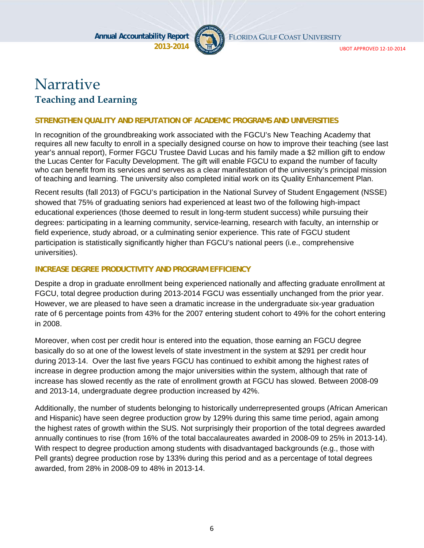

FLORIDA GULF COAST UNIVERSITY

UBOT APPROVED 12‐10‐2014

# Narrative **Teaching and Learning**

#### **STRENGTHEN QUALITY AND REPUTATION OF ACADEMIC PROGRAMS AND UNIVERSITIES**

In recognition of the groundbreaking work associated with the FGCU's New Teaching Academy that requires all new faculty to enroll in a specially designed course on how to improve their teaching (see last year's annual report), Former FGCU Trustee David Lucas and his family made a \$2 million gift to endow the Lucas Center for Faculty Development. The gift will enable FGCU to expand the number of faculty who can benefit from its services and serves as a clear manifestation of the university's principal mission of teaching and learning. The university also completed initial work on its Quality Enhancement Plan.

Recent results (fall 2013) of FGCU's participation in the National Survey of Student Engagement (NSSE) showed that 75% of graduating seniors had experienced at least two of the following high-impact educational experiences (those deemed to result in long-term student success) while pursuing their degrees: participating in a learning community, service-learning, research with faculty, an internship or field experience, study abroad, or a culminating senior experience. This rate of FGCU student participation is statistically significantly higher than FGCU's national peers (i.e., comprehensive universities).

#### **INCREASE DEGREE PRODUCTIVITY AND PROGRAM EFFICIENCY**

Despite a drop in graduate enrollment being experienced nationally and affecting graduate enrollment at FGCU, total degree production during 2013-2014 FGCU was essentially unchanged from the prior year. However, we are pleased to have seen a dramatic increase in the undergraduate six-year graduation rate of 6 percentage points from 43% for the 2007 entering student cohort to 49% for the cohort entering in 2008.

Moreover, when cost per credit hour is entered into the equation, those earning an FGCU degree basically do so at one of the lowest levels of state investment in the system at \$291 per credit hour during 2013-14. Over the last five years FGCU has continued to exhibit among the highest rates of increase in degree production among the major universities within the system, although that rate of increase has slowed recently as the rate of enrollment growth at FGCU has slowed. Between 2008-09 and 2013-14, undergraduate degree production increased by 42%.

Additionally, the number of students belonging to historically underrepresented groups (African American and Hispanic) have seen degree production grow by 129% during this same time period, again among the highest rates of growth within the SUS. Not surprisingly their proportion of the total degrees awarded annually continues to rise (from 16% of the total baccalaureates awarded in 2008-09 to 25% in 2013-14). With respect to degree production among students with disadvantaged backgrounds (e.g., those with Pell grants) degree production rose by 133% during this period and as a percentage of total degrees awarded, from 28% in 2008-09 to 48% in 2013-14.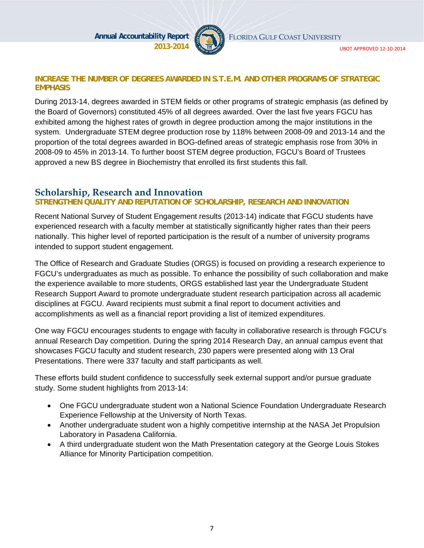

FLORIDA GULF COAST UNIVERSITY

#### **INCREASE THE NUMBER OF DEGREES AWARDED IN S.T.E.M. AND OTHER PROGRAMS OF STRATEGIC EMPHASIS**

During 2013-14, degrees awarded in STEM fields or other programs of strategic emphasis (as defined by the Board of Governors) constituted 45% of all degrees awarded. Over the last five years FGCU has exhibited among the highest rates of growth in degree production among the major institutions in the system. Undergraduate STEM degree production rose by 118% between 2008-09 and 2013-14 and the proportion of the total degrees awarded in BOG-defined areas of strategic emphasis rose from 30% in 2008-09 to 45% in 2013-14. To further boost STEM degree production, FGCU's Board of Trustees approved a new BS degree in Biochemistry that enrolled its first students this fall.

#### **Scholarship, Research and Innovation**

#### **STRENGTHEN QUALITY AND REPUTATION OF SCHOLARSHIP, RESEARCH AND INNOVATION**

Recent National Survey of Student Engagement results (2013-14) indicate that FGCU students have experienced research with a faculty member at statistically significantly higher rates than their peers nationally. This higher level of reported participation is the result of a number of university programs intended to support student engagement.

The Office of Research and Graduate Studies (ORGS) is focused on providing a research experience to FGCU's undergraduates as much as possible. To enhance the possibility of such collaboration and make the experience available to more students, ORGS established last year the Undergraduate Student Research Support Award to promote undergraduate student research participation across all academic disciplines at FGCU. Award recipients must submit a final report to document activities and accomplishments as well as a financial report providing a list of itemized expenditures.

One way FGCU encourages students to engage with faculty in collaborative research is through FGCU's annual Research Day competition. During the spring 2014 Research Day, an annual campus event that showcases FGCU faculty and student research, 230 papers were presented along with 13 Oral Presentations. There were 337 faculty and staff participants as well.

These efforts build student confidence to successfully seek external support and/or pursue graduate study. Some student highlights from 2013-14:

- One FGCU undergraduate student won a National Science Foundation Undergraduate Research Experience Fellowship at the University of North Texas.
- Another undergraduate student won a highly competitive internship at the NASA Jet Propulsion Laboratory in Pasadena California.
- A third undergraduate student won the Math Presentation category at the George Louis Stokes Alliance for Minority Participation competition.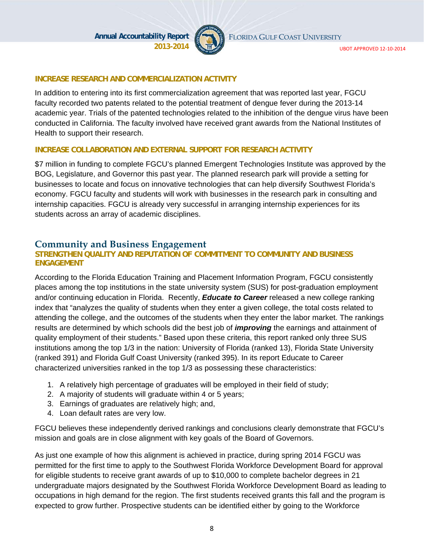

FLORIDA GULF COAST UNIVERSITY

#### **INCREASE RESEARCH AND COMMERCIALIZATION ACTIVITY**

In addition to entering into its first commercialization agreement that was reported last year, FGCU faculty recorded two patents related to the potential treatment of dengue fever during the 2013-14 academic year. Trials of the patented technologies related to the inhibition of the dengue virus have been conducted in California. The faculty involved have received grant awards from the National Institutes of Health to support their research.

#### **INCREASE COLLABORATION AND EXTERNAL SUPPORT FOR RESEARCH ACTIVITY**

\$7 million in funding to complete FGCU's planned Emergent Technologies Institute was approved by the BOG, Legislature, and Governor this past year. The planned research park will provide a setting for businesses to locate and focus on innovative technologies that can help diversify Southwest Florida's economy. FGCU faculty and students will work with businesses in the research park in consulting and internship capacities. FGCU is already very successful in arranging internship experiences for its students across an array of academic disciplines.

#### **Community and Business Engagement**

#### **STRENGTHEN QUALITY AND REPUTATION OF COMMITMENT TO COMMUNITY AND BUSINESS ENGAGEMENT**

According to the Florida Education Training and Placement Information Program, FGCU consistently places among the top institutions in the state university system (SUS) for post-graduation employment and/or continuing education in Florida. Recently, *Educate to Career* released a new college ranking index that "analyzes the quality of students when they enter a given college, the total costs related to attending the college, and the outcomes of the students when they enter the labor market. The rankings results are determined by which schools did the best job of *improving* the earnings and attainment of quality employment of their students." Based upon these criteria, this report ranked only three SUS institutions among the top 1/3 in the nation: University of Florida (ranked 13), Florida State University (ranked 391) and Florida Gulf Coast University (ranked 395). In its report Educate to Career characterized universities ranked in the top 1/3 as possessing these characteristics:

- 1. A relatively high percentage of graduates will be employed in their field of study;
- 2. A majority of students will graduate within 4 or 5 years;
- 3. Earnings of graduates are relatively high; and,
- 4. Loan default rates are very low.

FGCU believes these independently derived rankings and conclusions clearly demonstrate that FGCU's mission and goals are in close alignment with key goals of the Board of Governors.

As just one example of how this alignment is achieved in practice, during spring 2014 FGCU was permitted for the first time to apply to the Southwest Florida Workforce Development Board for approval for eligible students to receive grant awards of up to \$10,000 to complete bachelor degrees in 21 undergraduate majors designated by the Southwest Florida Workforce Development Board as leading to occupations in high demand for the region. The first students received grants this fall and the program is expected to grow further. Prospective students can be identified either by going to the Workforce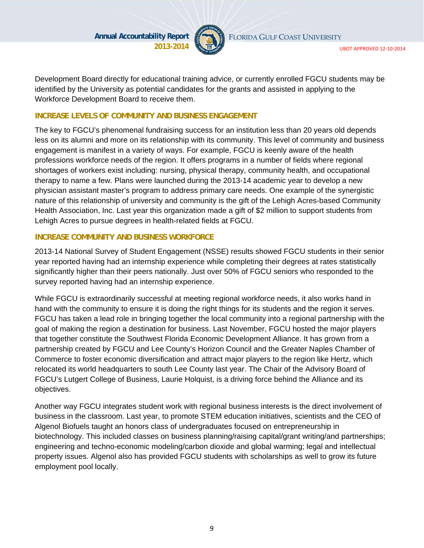

Development Board directly for educational training advice, or currently enrolled FGCU students may be identified by the University as potential candidates for the grants and assisted in applying to the Workforce Development Board to receive them.

#### **INCREASE LEVELS OF COMMUNITY AND BUSINESS ENGAGEMENT**

The key to FGCU's phenomenal fundraising success for an institution less than 20 years old depends less on its alumni and more on its relationship with its community. This level of community and business engagement is manifest in a variety of ways. For example, FGCU is keenly aware of the health professions workforce needs of the region. It offers programs in a number of fields where regional shortages of workers exist including: nursing, physical therapy, community health, and occupational therapy to name a few. Plans were launched during the 2013-14 academic year to develop a new physician assistant master's program to address primary care needs. One example of the synergistic nature of this relationship of university and community is the gift of the Lehigh Acres-based Community Health Association, Inc. Last year this organization made a gift of \$2 million to support students from Lehigh Acres to pursue degrees in health-related fields at FGCU.

#### **INCREASE COMMUNITY AND BUSINESS WORKFORCE**

2013-14 National Survey of Student Engagement (NSSE) results showed FGCU students in their senior year reported having had an internship experience while completing their degrees at rates statistically significantly higher than their peers nationally. Just over 50% of FGCU seniors who responded to the survey reported having had an internship experience.

While FGCU is extraordinarily successful at meeting regional workforce needs, it also works hand in hand with the community to ensure it is doing the right things for its students and the region it serves. FGCU has taken a lead role in bringing together the local community into a regional partnership with the goal of making the region a destination for business. Last November, FGCU hosted the major players that together constitute the Southwest Florida Economic Development Alliance. It has grown from a partnership created by FGCU and Lee County's Horizon Council and the Greater Naples Chamber of Commerce to foster economic diversification and attract major players to the region like Hertz, which relocated its world headquarters to south Lee County last year. The Chair of the Advisory Board of FGCU's Lutgert College of Business, Laurie Holquist, is a driving force behind the Alliance and its objectives.

Another way FGCU integrates student work with regional business interests is the direct involvement of business in the classroom. Last year, to promote STEM education initiatives, scientists and the CEO of Algenol Biofuels taught an honors class of undergraduates focused on entrepreneurship in biotechnology. This included classes on business planning/raising capital/grant writing/and partnerships; engineering and techno-economic modeling/carbon dioxide and global warming; legal and intellectual property issues. Algenol also has provided FGCU students with scholarships as well to grow its future employment pool locally.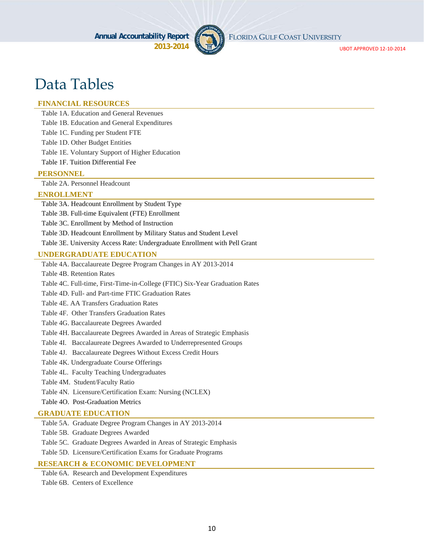

FLORIDA GULF COAST UNIVERSITY

UBOT APPROVED 12‐10‐2014

# Data Tables

#### **FINANCIAL RESOURCES**

Table 1A. Education and General Revenues

Table 1B. Education and General Expenditures

Table 1C. Funding per Student FTE

Table 1D. Other Budget Entities

Table 1E. Voluntary Support of Higher Education

Table 1F. Tuition Differential Fee

#### **PERSONNEL**

Table 2A. Personnel Headcount

#### **ENROLLMENT**

Table 3A. Headcount Enrollment by Student Type

Table 3B. Full-time Equivalent (FTE) Enrollment

Table 3C. Enrollment by Method of Instruction

Table 3D. Headcount Enrollment by Military Status and Student Level

Table 3E. University Access Rate: Undergraduate Enrollment with Pell Grant

#### **UNDERGRADUATE EDUCATION**

Table 4A. Baccalaureate Degree Program Changes in AY 2013-2014

Table 4B. Retention Rates

Table 4C. Full-time, First-Time-in-College (FTIC) Six-Year Graduation Rates

Table 4D. Full- and Part-time FTIC Graduation Rates

Table 4E. AA Transfers Graduation Rates

Table 4F. Other Transfers Graduation Rates

Table 4G. Baccalaureate Degrees Awarded

Table 4H. Baccalaureate Degrees Awarded in Areas of Strategic Emphasis

Table 4I. Baccalaureate Degrees Awarded to Underrepresented Groups

Table 4J. Baccalaureate Degrees Without Excess Credit Hours

Table 4K. Undergraduate Course Offerings

Table 4L. Faculty Teaching Undergraduates

Table 4M. Student/Faculty Ratio

Table 4N. Licensure/Certification Exam: Nursing (NCLEX)

Table 4O. Post-Graduation Metrics

#### **GRADUATE EDUCATION**

Table 5A. Graduate Degree Program Changes in AY 2013-2014

Table 5B. Graduate Degrees Awarded

Table 5C. Graduate Degrees Awarded in Areas of Strategic Emphasis

Table 5D. Licensure/Certification Exams for Graduate Programs

#### **RESEARCH & ECONOMIC DEVELOPMENT**

Table 6A. Research and Development Expenditures Table 6B. Centers of Excellence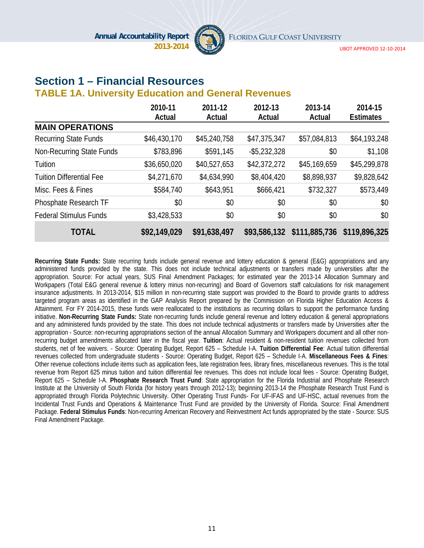

### **Section 1 – Financial Resources**

#### **TABLE 1A. University Education and General Revenues**

|                                 | 2010-11      | 2011-12      | 2012-13         | 2013-14       | 2014-15          |
|---------------------------------|--------------|--------------|-----------------|---------------|------------------|
|                                 | Actual       | Actual       | Actual          | Actual        | <b>Estimates</b> |
| <b>MAIN OPERATIONS</b>          |              |              |                 |               |                  |
| <b>Recurring State Funds</b>    | \$46,430,170 | \$45,240,758 | \$47,375,347    | \$57,084,813  | \$64,193,248     |
| Non-Recurring State Funds       | \$783,896    | \$591,145    | $-$ \$5,232,328 | \$0           | \$1,108          |
| Tuition                         | \$36,650,020 | \$40,527,653 | \$42,372,272    | \$45,169,659  | \$45,299,878     |
| <b>Tuition Differential Fee</b> | \$4,271,670  | \$4,634,990  | \$8,404,420     | \$8,898,937   | \$9,828,642      |
| Misc. Fees & Fines              | \$584,740    | \$643,951    | \$666,421       | \$732,327     | \$573,449        |
| Phosphate Research TF           | \$0          | \$0          | \$0             | \$0           | \$0              |
| <b>Federal Stimulus Funds</b>   | \$3,428,533  | \$0          | \$0             | \$0           | \$0              |
| <b>TOTAL</b>                    | \$92,149,029 | \$91,638,497 | \$93,586,132    | \$111,885,736 | \$119,896,325    |

**Recurring State Funds:** State recurring funds include general revenue and lottery education & general (E&G) appropriations and any administered funds provided by the state. This does not include technical adjustments or transfers made by universities after the appropriation. Source: For actual years, SUS Final Amendment Packages; for estimated year the 2013-14 Allocation Summary and Workpapers (Total E&G general revenue & lottery minus non-recurring) and Board of Governors staff calculations for risk management insurance adjustments. In 2013-2014, \$15 million in non-recurring state support was provided to the Board to provide grants to address targeted program areas as identified in the GAP Analysis Report prepared by the Commission on Florida Higher Education Access & Attainment. For FY 2014-2015, these funds were reallocated to the institutions as recurring dollars to support the performance funding initiative. **Non-Recurring State Funds:** State non-recurring funds include general revenue and lottery education & general appropriations and any administered funds provided by the state. This does not include technical adjustments or transfers made by Universities after the appropriation - Source: non-recurring appropriations section of the annual Allocation Summary and Workpapers document and all other nonrecurring budget amendments allocated later in the fiscal year. **Tuition**: Actual resident & non-resident tuition revenues collected from students, net of fee waivers. - Source: Operating Budget, Report 625 – Schedule I-A. **Tuition Differential Fee**: Actual tuition differential revenues collected from undergraduate students - Source: Operating Budget, Report 625 – Schedule I-A. **Miscellaneous Fees & Fines**: Other revenue collections include items such as application fees, late registration fees, library fines, miscellaneous revenues. This is the total revenue from Report 625 minus tuition and tuition differential fee revenues. This does not include local fees - Source: Operating Budget, Report 625 – Schedule I-A. **Phosphate Research Trust Fund**: State appropriation for the Florida Industrial and Phosphate Research Institute at the University of South Florida (for history years through 2012-13); beginning 2013-14 the Phosphate Research Trust Fund is appropriated through Florida Polytechnic University. Other Operating Trust Funds- For UF-IFAS and UF-HSC, actual revenues from the Incidental Trust Funds and Operations & Maintenance Trust Fund are provided by the University of Florida. Source: Final Amendment Package. **Federal Stimulus Funds**: Non-recurring American Recovery and Reinvestment Act funds appropriated by the state - Source: SUS Final Amendment Package.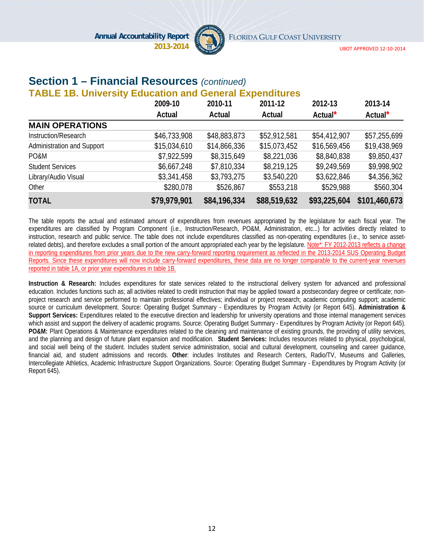

UBOT APPROVED 12‐10‐2014

### **Section 1 – Financial Resources** *(continued)*

#### **TABLE 1B. University Education and General Expenditures**

|                            | 2009-10      | 2010-11      | 2011-12      | 2012-13             | 2013-14             |
|----------------------------|--------------|--------------|--------------|---------------------|---------------------|
|                            | Actual       | Actual       | Actual       | Actual <sup>*</sup> | Actual <sup>*</sup> |
| <b>MAIN OPERATIONS</b>     |              |              |              |                     |                     |
| Instruction/Research       | \$46,733,908 | \$48,883,873 | \$52,912,581 | \$54,412,907        | \$57,255,699        |
| Administration and Support | \$15,034,610 | \$14,866,336 | \$15,073,452 | \$16,569,456        | \$19,438,969        |
| PO&M                       | \$7,922,599  | \$8,315,649  | \$8,221,036  | \$8,840,838         | \$9,850,437         |
| <b>Student Services</b>    | \$6,667,248  | \$7,810,334  | \$8,219,125  | \$9,249,569         | \$9,998,902         |
| Library/Audio Visual       | \$3,341,458  | \$3,793,275  | \$3,540,220  | \$3,622,846         | \$4,356,362         |
| Other                      | \$280,078    | \$526,867    | \$553,218    | \$529,988           | \$560,304           |
| <b>TOTAL</b>               | \$79,979,901 | \$84,196,334 | \$88,519,632 | \$93,225,604        | \$101,460,673       |

The table reports the actual and estimated amount of expenditures from revenues appropriated by the legislature for each fiscal year. The expenditures are classified by Program Component (i.e., Instruction/Research, PO&M, Administration, etc...) for activities directly related to instruction, research and public service. The table does not include expenditures classified as non-operating expenditures (i.e., to service assetrelated debts), and therefore excludes a small portion of the amount appropriated each year by the legislature. Note\*: FY 2012-2013 reflects a change in reporting expenditures from prior years due to the new carry-forward reporting requirement as reflected in the 2013-2014 SUS Operating Budget Reports. Since these expenditures will now include carry-forward expenditures, these data are no longer comparable to the current-year revenues reported in table 1A, or prior year expenditures in table 1B.

**Instruction & Research:** Includes expenditures for state services related to the instructional delivery system for advanced and professional education. Includes functions such as; all activities related to credit instruction that may be applied toward a postsecondary degree or certificate; nonproject research and service performed to maintain professional effectives; individual or project research; academic computing support; academic source or curriculum development. Source: Operating Budget Summary - Expenditures by Program Activity (or Report 645). **Administration & Support Services:** Expenditures related to the executive direction and leadership for university operations and those internal management services which assist and support the delivery of academic programs. Source: Operating Budget Summary - Expenditures by Program Activity (or Report 645). **PO&M:** Plant Operations & Maintenance expenditures related to the cleaning and maintenance of existing grounds, the providing of utility services, and the planning and design of future plant expansion and modification. **Student Services:** Includes resources related to physical, psychological, and social well being of the student. Includes student service administration, social and cultural development, counseling and career guidance, financial aid, and student admissions and records. **Other**: includes Institutes and Research Centers, Radio/TV, Museums and Galleries, Intercollegiate Athletics, Academic Infrastructure Support Organizations. Source: Operating Budget Summary - Expenditures by Program Activity (or Report 645).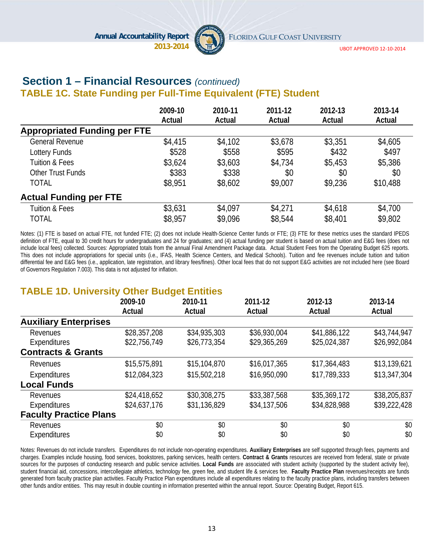

UBOT APPROVED 12‐10‐2014

#### **Section 1 – Financial Resources** *(continued)*  **TABLE 1C. State Funding per Full-Time Equivalent (FTE) Student**

|                                     | 2009-10<br>Actual | 2010-11<br>Actual | 2011-12<br>Actual | 2012-13<br>Actual | 2013-14<br>Actual |
|-------------------------------------|-------------------|-------------------|-------------------|-------------------|-------------------|
| <b>Appropriated Funding per FTE</b> |                   |                   |                   |                   |                   |
| <b>General Revenue</b>              | \$4,415           | \$4,102           | \$3,678           | \$3,351           | \$4,605           |
| Lottery Funds                       | \$528             | \$558             | \$595             | \$432             | \$497             |
| <b>Tuition &amp; Fees</b>           | \$3,624           | \$3,603           | \$4,734           | \$5,453           | \$5,386           |
| Other Trust Funds                   | \$383             | \$338             | \$0               | \$0               | \$0               |
| <b>TOTAL</b>                        | \$8,951           | \$8,602           | \$9,007           | \$9,236           | \$10,488          |
| <b>Actual Funding per FTE</b>       |                   |                   |                   |                   |                   |
| <b>Tuition &amp; Fees</b>           | \$3,631           | \$4,097           | \$4,271           | \$4,618           | \$4,700           |
| <b>TOTAL</b>                        | \$8,957           | \$9,096           | \$8,544           | \$8,401           | \$9,802           |

Notes: (1) FTE is based on actual FTE, not funded FTE; (2) does not include Health-Science Center funds or FTE; (3) FTE for these metrics uses the standard IPEDS definition of FTE, equal to 30 credit hours for undergraduates and 24 for graduates; and (4) actual funding per student is based on actual tuition and E&G fees (does not include local fees) collected. Sources: Appropriated totals from the annual Final Amendment Package data. Actual Student Fees from the Operating Budget 625 reports. This does not include appropriations for special units (i.e., IFAS, Health Science Centers, and Medical Schools). Tuition and fee revenues include tuition and tuition differential fee and E&G fees (i.e., application, late registration, and library fees/fines). Other local fees that do not support E&G activities are not included here (see Board of Governors Regulation 7.003). This data is not adjusted for inflation.

### **TABLE 1D. University Other Budget Entities**

|                               | 2009-10      | 2010-11      | 2011-12      | 2012-13      | 2013-14      |
|-------------------------------|--------------|--------------|--------------|--------------|--------------|
|                               | Actual       | Actual       | Actual       | Actual       | Actual       |
| <b>Auxiliary Enterprises</b>  |              |              |              |              |              |
| Revenues                      | \$28,357,208 | \$34,935,303 | \$36,930,004 | \$41,886,122 | \$43,744,947 |
| Expenditures                  | \$22,756,749 | \$26,773,354 | \$29,365,269 | \$25,024,387 | \$26,992,084 |
| <b>Contracts &amp; Grants</b> |              |              |              |              |              |
| Revenues                      | \$15,575,891 | \$15,104,870 | \$16,017,365 | \$17,364,483 | \$13,139,621 |
| Expenditures                  | \$12,084,323 | \$15,502,218 | \$16,950,090 | \$17,789,333 | \$13,347,304 |
| <b>Local Funds</b>            |              |              |              |              |              |
| Revenues                      | \$24,418,652 | \$30,308,275 | \$33,387,568 | \$35,369,172 | \$38,205,837 |
| Expenditures                  | \$24,637,176 | \$31,136,829 | \$34,137,506 | \$34,828,988 | \$39,222,428 |
| <b>Faculty Practice Plans</b> |              |              |              |              |              |
| Revenues                      | \$0          | \$0          | \$0          | \$0          | \$0          |
| Expenditures                  | \$0          | \$0          | \$0          | \$0          | \$0          |

Notes: Revenues do not include transfers. Expenditures do not include non-operating expenditures. **Auxiliary Enterprises** are self supported through fees, payments and charges. Examples include housing, food services, bookstores, parking services, health centers. **Contract & Grants** resources are received from federal, state or private sources for the purposes of conducting research and public service activities. Local Funds are associated with student activity (supported by the student activity fee), student financial aid, concessions, intercollegiate athletics, technology fee, green fee, and student life & services fee. **Faculty Practice Plan** revenues/receipts are funds generated from faculty practice plan activities. Faculty Practice Plan expenditures include all expenditures relating to the faculty practice plans, including transfers between other funds and/or entities. This may result in double counting in information presented within the annual report. Source: Operating Budget, Report 615.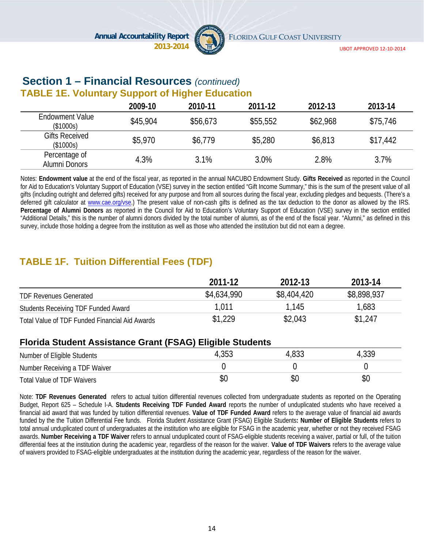

#### **Section 1 – Financial Resources** *(continued)* **TABLE 1E. Voluntary Support of Higher Education**

|                                     | 2009-10  | 2010-11  | 2011-12  | 2012-13  | 2013-14  |
|-------------------------------------|----------|----------|----------|----------|----------|
| <b>Endowment Value</b><br>(\$1000s) | \$45,904 | \$56,673 | \$55,552 | \$62,968 | \$75,746 |
| <b>Gifts Received</b><br>(\$1000s)  | \$5,970  | \$6,779  | \$5,280  | \$6,813  | \$17,442 |
| Percentage of<br>Alumni Donors      | 4.3%     | 3.1%     | 3.0%     | 2.8%     | 3.7%     |

Notes: **Endowment value** at the end of the fiscal year, as reported in the annual NACUBO Endowment Study. **Gifts Received** as reported in the Council for Aid to Education's Voluntary Support of Education (VSE) survey in the section entitled "Gift Income Summary," this is the sum of the present value of all gifts (including outright and deferred gifts) received for any purpose and from all sources during the fiscal year, excluding pledges and bequests. (There's a deferred gift calculator at www.cae.org/vse.) The present value of non-cash gifts is defined as the tax deduction to the donor as allowed by the IRS. **Percentage of Alumni Donors** as reported in the Council for Aid to Education's Voluntary Support of Education (VSE) survey in the section entitled "Additional Details," this is the number of alumni donors divided by the total number of alumni, as of the end of the fiscal year. "Alumni," as defined in this survey, include those holding a degree from the institution as well as those who attended the institution but did not earn a degree.

### **TABLE 1F. Tuition Differential Fees (TDF)**

|                                                | 2011-12     | 2012-13     | 2013-14     |
|------------------------------------------------|-------------|-------------|-------------|
| <b>TDF Revenues Generated</b>                  | \$4,634,990 | \$8,404,420 | \$8,898,937 |
| Students Receiving TDF Funded Award            | 1.011       | 1.145       | 1,683       |
| Total Value of TDF Funded Financial Aid Awards | \$1,229     | \$2,043     | \$1,247     |

#### **Florida Student Assistance Grant (FSAG) Eligible Students**

| Number of Eligible Students   | 4,353 | 4,833 | 4,339 |
|-------------------------------|-------|-------|-------|
| Number Receiving a TDF Waiver |       |       |       |
| Total Value of TDF Waivers    |       | \$C   | ΦU    |

Note: **TDF Revenues Generated** refers to actual tuition differential revenues collected from undergraduate students as reported on the Operating Budget, Report 625 – Schedule I-A. **Students Receiving TDF Funded Award** reports the number of unduplicated students who have received a financial aid award that was funded by tuition differential revenues. **Value of TDF Funded Award** refers to the average value of financial aid awards funded by the the Tuition Differential Fee funds. Florida Student Assistance Grant (FSAG) Eligible Students**: Number of Eligible Students** refers to total annual unduplicated count of undergraduates at the institution who are eligible for FSAG in the academic year, whether or not they received FSAG awards. **Number Receiving a TDF Waiver** refers to annual unduplicated count of FSAG-eligible students receiving a waiver, partial or full, of the tuition differential fees at the institution during the academic year, regardless of the reason for the waiver. **Value of TDF Waivers** refers to the average value of waivers provided to FSAG-eligible undergraduates at the institution during the academic year, regardless of the reason for the waiver.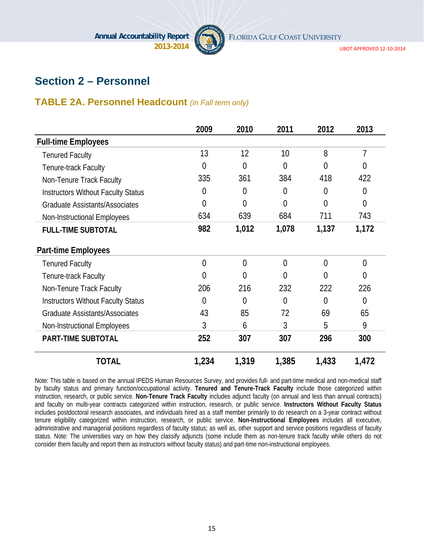

UBOT APPROVED 12‐10‐2014

### **Section 2 – Personnel**

### **TABLE 2A. Personnel Headcount** *(in Fall term only)*

|                                           | 2009           | 2010           | 2011           | 2012           | 2013           |
|-------------------------------------------|----------------|----------------|----------------|----------------|----------------|
| <b>Full-time Employees</b>                |                |                |                |                |                |
| <b>Tenured Faculty</b>                    | 13             | 12             | 10             | 8              | 7              |
| Tenure-track Faculty                      | $\theta$       | $\overline{0}$ | 0              | 0              | 0              |
| Non-Tenure Track Faculty                  | 335            | 361            | 384            | 418            | 422            |
| <b>Instructors Without Faculty Status</b> | 0              | 0              | 0              | 0              | $\overline{0}$ |
| <b>Graduate Assistants/Associates</b>     | $\overline{0}$ | $\overline{0}$ | $\overline{0}$ | $\Omega$       | $\overline{0}$ |
| Non-Instructional Employees               | 634            | 639            | 684            | 711            | 743            |
| <b>FULL-TIME SUBTOTAL</b>                 | 982            | 1,012          | 1,078          | 1,137          | 1,172          |
| <b>Part-time Employees</b>                |                |                |                |                |                |
| <b>Tenured Faculty</b>                    | $\overline{0}$ | $\overline{0}$ | $\overline{0}$ | $\overline{0}$ | $\overline{0}$ |
| Tenure-track Faculty                      | 0              | 0              | 0              | 0              | $\theta$       |
| Non-Tenure Track Faculty                  | 206            | 216            | 232            | 222            | 226            |
| <b>Instructors Without Faculty Status</b> | $\theta$       | $\overline{0}$ | $\theta$       | $\Omega$       | $\theta$       |
| <b>Graduate Assistants/Associates</b>     | 43             | 85             | 72             | 69             | 65             |
| Non-Instructional Employees               | 3              | 6              | 3              | 5              | 9              |
| <b>PART-TIME SUBTOTAL</b>                 | 252            | 307            | 307            | 296            | 300            |
| <b>TOTAL</b>                              | 1,234          | 1,319          | 1,385          | 1,433          | 1,472          |

Note: This table is based on the annual IPEDS Human Resources Survey, and provides full- and part-time medical and non-medical staff by faculty status and primary function/occupational activity. **Tenured and Tenure-Track Faculty** include those categorized within instruction, research, or public service. **Non-Tenure Track Faculty** includes adjunct faculty (on annual and less than annual contracts) and faculty on multi-year contracts categorized within instruction, research, or public service. **Instructors Without Faculty Status** includes postdoctoral research associates, and individuals hired as a staff member primarily to do research on a 3-year contract without tenure eligibility categorized within instruction, research, or public service. **Non-Instructional Employees** includes all executive, administrative and managerial positions regardless of faculty status; as well as, other support and service positions regardless of faculty status. Note: The universities vary on how they classify adjuncts (some include them as non-tenure track faculty while others do not consider them faculty and report them as instructors without faculty status) and part-time non-instructional employees.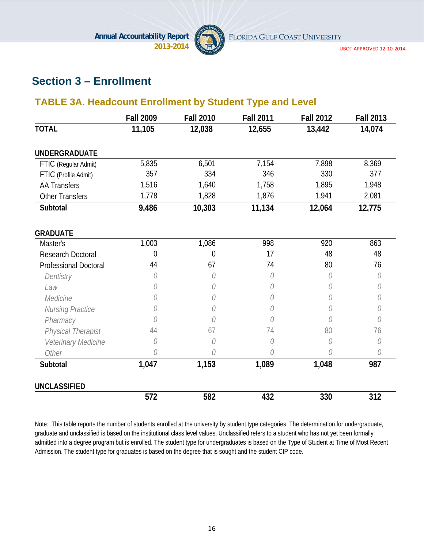

UBOT APPROVED 12‐10‐2014

### **Section 3 – Enrollment**

### **TABLE 3A. Headcount Enrollment by Student Type and Level**

|                              | <b>Fall 2009</b> | <b>Fall 2010</b> | <b>Fall 2011</b> | <b>Fall 2012</b> | <b>Fall 2013</b> |
|------------------------------|------------------|------------------|------------------|------------------|------------------|
| <b>TOTAL</b>                 | 11,105           | 12,038           | 12,655           | 13,442           | 14,074           |
| <b>UNDERGRADUATE</b>         |                  |                  |                  |                  |                  |
| FTIC (Regular Admit)         | 5,835            | 6,501            | 7,154            | 7,898            | 8,369            |
| FTIC (Profile Admit)         | 357              | 334              | 346              | 330              | 377              |
| <b>AA Transfers</b>          | 1,516            | 1,640            | 1,758            | 1,895            | 1,948            |
| <b>Other Transfers</b>       | 1,778            | 1,828            | 1,876            | 1,941            | 2,081            |
| Subtotal                     | 9,486            | 10,303           | 11,134           | 12,064           | 12,775           |
| <b>GRADUATE</b>              |                  |                  |                  |                  |                  |
| Master's                     | 1,003            | 1,086            | 998              | 920              | 863              |
| <b>Research Doctoral</b>     | 0                | 0                | 17               | 48               | 48               |
| <b>Professional Doctoral</b> | 44               | 67               | 74               | 80               | 76               |
| Dentistry                    | N                | N                | 0                | N                | 0                |
| Law                          |                  | O                | O                | 0                | 0                |
| Medicine                     | O                | 0                | O                | 0                | 0                |
| Nursing Practice             | ()               | O                | O                | O                | O                |
| Pharmacy                     | N                | N                | N                | N                | N                |
| Physical Therapist           | 44               | 67               | 74               | 80               | 76               |
| Veterinary Medicine          | 0                | N                | O                | N                | O                |
| Other                        | N                | N                | N                | N                | 0                |
| Subtotal                     | 1,047            | 1,153            | 1,089            | 1,048            | 987              |
| <b>UNCLASSIFIED</b>          |                  |                  |                  |                  |                  |
|                              | 572              | 582              | 432              | 330              | 312              |

Note: This table reports the number of students enrolled at the university by student type categories. The determination for undergraduate, graduate and unclassified is based on the institutional class level values. Unclassified refers to a student who has not yet been formally admitted into a degree program but is enrolled. The student type for undergraduates is based on the Type of Student at Time of Most Recent Admission. The student type for graduates is based on the degree that is sought and the student CIP code.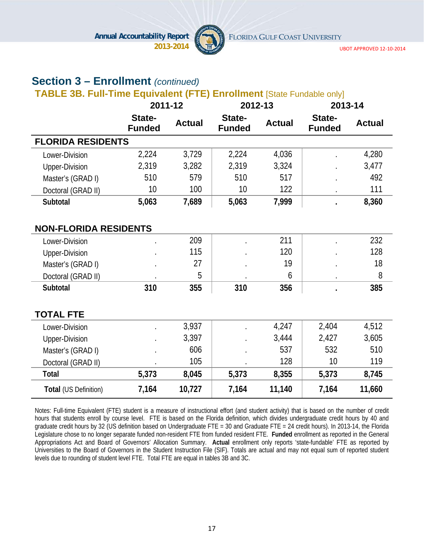

UBOT APPROVED 12‐10‐2014

### **Section 3 – Enrollment** *(continued)*

#### **TABLE 3B. Full-Time Equivalent (FTE) Enrollment** [State Fundable only]

|                              | 2011-12                 |               | 2012-13                 |               | 2013-14                 |               |
|------------------------------|-------------------------|---------------|-------------------------|---------------|-------------------------|---------------|
|                              | State-<br><b>Funded</b> | <b>Actual</b> | State-<br><b>Funded</b> | <b>Actual</b> | State-<br><b>Funded</b> | <b>Actual</b> |
| <b>FLORIDA RESIDENTS</b>     |                         |               |                         |               |                         |               |
| Lower-Division               | 2,224                   | 3,729         | 2,224                   | 4,036         |                         | 4,280         |
| <b>Upper-Division</b>        | 2,319                   | 3,282         | 2,319                   | 3,324         |                         | 3,477         |
| Master's (GRAD I)            | 510                     | 579           | 510                     | 517           |                         | 492           |
| Doctoral (GRAD II)           | 10                      | 100           | 10                      | 122           |                         | 111           |
| Subtotal                     | 5,063                   | 7,689         | 5,063                   | 7,999         |                         | 8,360         |
|                              |                         |               |                         |               |                         |               |
| <b>NON-FLORIDA RESIDENTS</b> |                         |               |                         |               |                         |               |
| Lower-Division               |                         | 209           |                         | 211           |                         | 232           |
| <b>Upper-Division</b>        |                         | 115           |                         | 120           |                         | 128           |
| Master's (GRAD I)            |                         | 27            |                         | 19            |                         | 18            |
| Doctoral (GRAD II)           |                         | 5             |                         | 6             |                         | 8             |
| Subtotal                     | 310                     | 355           | 310                     | 356           |                         | 385           |
|                              |                         |               |                         |               |                         |               |
| <b>TOTAL FTE</b>             |                         |               |                         |               |                         |               |
| Lower-Division               |                         | 3,937         |                         | 4,247         | 2,404                   | 4,512         |
| <b>Upper-Division</b>        |                         | 3,397         |                         | 3,444         | 2,427                   | 3,605         |
| Master's (GRAD I)            |                         | 606           |                         | 537           | 532                     | 510           |
| Doctoral (GRAD II)           |                         | 105           |                         | 128           | 10                      | 119           |
| <b>Total</b>                 | 5,373                   | 8,045         | 5,373                   | 8,355         | 5,373                   | 8,745         |
| Total (US Definition)        | 7,164                   | 10,727        | 7,164                   | 11,140        | 7,164                   | 11,660        |

Notes: Full-time Equivalent (FTE) student is a measure of instructional effort (and student activity) that is based on the number of credit hours that students enroll by course level. FTE is based on the Florida definition, which divides undergraduate credit hours by 40 and graduate credit hours by 32 (US definition based on Undergraduate FTE = 30 and Graduate FTE = 24 credit hours). In 2013-14, the Florida Legislature chose to no longer separate funded non-resident FTE from funded resident FTE. **Funded** enrollment as reported in the General Appropriations Act and Board of Governors' Allocation Summary. **Actual** enrollment only reports 'state-fundable' FTE as reported by Universities to the Board of Governors in the Student Instruction File (SIF). Totals are actual and may not equal sum of reported student levels due to rounding of student level FTE. Total FTE are equal in tables 3B and 3C.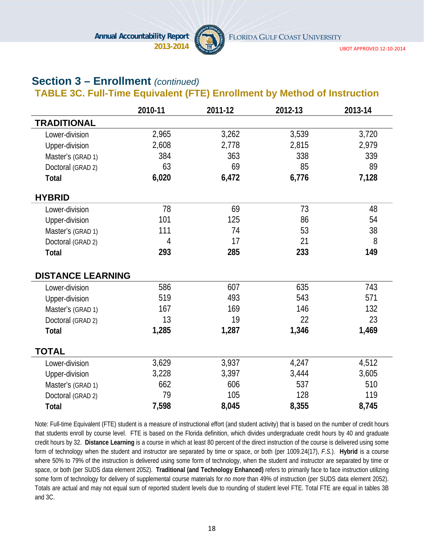

UBOT APPROVED 12‐10‐2014

### **Section 3 – Enrollment** *(continued)*

**TABLE 3C. Full-Time Equivalent (FTE) Enrollment by Method of Instruction** 

|                          | 2010-11 | 2011-12 | 2012-13 | 2013-14 |
|--------------------------|---------|---------|---------|---------|
| <b>TRADITIONAL</b>       |         |         |         |         |
| Lower-division           | 2,965   | 3,262   | 3,539   | 3,720   |
| Upper-division           | 2,608   | 2,778   | 2,815   | 2,979   |
| Master's (GRAD 1)        | 384     | 363     | 338     | 339     |
| Doctoral (GRAD 2)        | 63      | 69      | 85      | 89      |
| <b>Total</b>             | 6,020   | 6,472   | 6,776   | 7,128   |
| <b>HYBRID</b>            |         |         |         |         |
| Lower-division           | 78      | 69      | 73      | 48      |
| Upper-division           | 101     | 125     | 86      | 54      |
| Master's (GRAD 1)        | 111     | 74      | 53      | 38      |
| Doctoral (GRAD 2)        | 4       | 17      | 21      | 8       |
| <b>Total</b>             | 293     | 285     | 233     | 149     |
| <b>DISTANCE LEARNING</b> |         |         |         |         |
| Lower-division           | 586     | 607     | 635     | 743     |
| Upper-division           | 519     | 493     | 543     | 571     |
| Master's (GRAD 1)        | 167     | 169     | 146     | 132     |
| Doctoral (GRAD 2)        | 13      | 19      | 22      | 23      |
| Total                    | 1,285   | 1,287   | 1,346   | 1,469   |
| <b>TOTAL</b>             |         |         |         |         |
| Lower-division           | 3,629   | 3,937   | 4,247   | 4,512   |
| Upper-division           | 3,228   | 3,397   | 3,444   | 3,605   |
| Master's (GRAD 1)        | 662     | 606     | 537     | 510     |
| Doctoral (GRAD 2)        | 79      | 105     | 128     | 119     |
| <b>Total</b>             | 7,598   | 8,045   | 8,355   | 8,745   |

Note: Full-time Equivalent (FTE) student is a measure of instructional effort (and student activity) that is based on the number of credit hours that students enroll by course level. FTE is based on the Florida definition, which divides undergraduate credit hours by 40 and graduate credit hours by 32. **Distance Learning** is a course in which at least 80 percent of the direct instruction of the course is delivered using some form of technology when the student and instructor are separated by time or space, or both (per 1009.24(17), *F.S.*). **Hybrid** is a course where 50% to 79% of the instruction is delivered using some form of technology, when the student and instructor are separated by time or space, or both (per SUDS data element 2052). **Traditional (and Technology Enhanced)** refers to primarily face to face instruction utilizing some form of technology for delivery of supplemental course materials for *no more* than 49% of instruction (per SUDS data element 2052). Totals are actual and may not equal sum of reported student levels due to rounding of student level FTE. Total FTE are equal in tables 3B and 3C.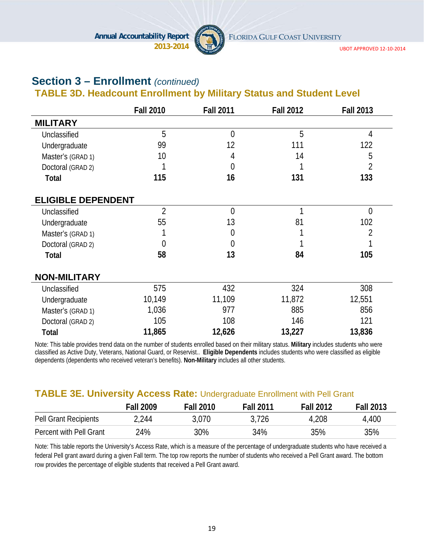

UBOT APPROVED 12‐10‐2014

### **Section 3 – Enrollment** *(continued)*

### **TABLE 3D. Headcount Enrollment by Military Status and Student Level**

|                           | <b>Fall 2010</b> | <b>Fall 2011</b> | <b>Fall 2012</b> | <b>Fall 2013</b> |
|---------------------------|------------------|------------------|------------------|------------------|
| <b>MILITARY</b>           |                  |                  |                  |                  |
| Unclassified              | 5                | $\overline{0}$   | 5                | 4                |
| Undergraduate             | 99               | 12               | 111              | 122              |
| Master's (GRAD 1)         | 10               | 4                | 14               | 5                |
| Doctoral (GRAD 2)         |                  | 0                |                  | 2                |
| Total                     | 115              | 16               | 131              | 133              |
| <b>ELIGIBLE DEPENDENT</b> |                  |                  |                  |                  |
| Unclassified              | $\overline{2}$   | $\overline{0}$   | 1                | $\overline{0}$   |
| Undergraduate             | 55               | 13               | 81               | 102              |
| Master's (GRAD 1)         |                  | 0                |                  | 2                |
| Doctoral (GRAD 2)         | 0                | 0                |                  |                  |
| Total                     | 58               | 13               | 84               | 105              |
| <b>NON-MILITARY</b>       |                  |                  |                  |                  |
| Unclassified              | 575              | 432              | 324              | 308              |
| Undergraduate             | 10,149           | 11,109           | 11,872           | 12,551           |
| Master's (GRAD 1)         | 1,036            | 977              | 885              | 856              |
| Doctoral (GRAD 2)         | 105              | 108              | 146              | 121              |
| Total                     | 11,865           | 12,626           | 13,227           | 13,836           |

Note: This table provides trend data on the number of students enrolled based on their military status. **Military** includes students who were classified as Active Duty, Veterans, National Guard, or Reservist.. **Eligible Dependents** includes students who were classified as eligible dependents (dependents who received veteran's benefits). **Non-Military** includes all other students.

#### **TABLE 3E. University Access Rate:** Undergraduate Enrollment with Pell Grant

|                         | <b>Fall 2009</b> | <b>Fall 2010</b> | <b>Fall 2011</b> | <b>Fall 2012</b> | <b>Fall 2013</b> |
|-------------------------|------------------|------------------|------------------|------------------|------------------|
| Pell Grant Recipients   | 2,244            | 3,070            | 3,726            | 4,208            | 4,400            |
| Percent with Pell Grant | 24%              | 30%              | 34%              | 35%              | 35%              |

Note: This table reports the University's Access Rate, which is a measure of the percentage of undergraduate students who have received a federal Pell grant award during a given Fall term. The top row reports the number of students who received a Pell Grant award. The bottom row provides the percentage of eligible students that received a Pell Grant award.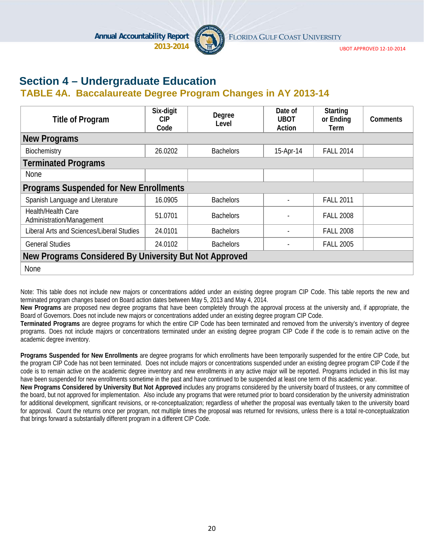

UBOT APPROVED 12‐10‐2014

### **Section 4 – Undergraduate Education**

#### **TABLE 4A. Baccalaureate Degree Program Changes in AY 2013-14**

| <b>Title of Program</b>                                | Six-digit<br><b>CIP</b><br>Code | Degree<br>Level  | Date of<br><b>UBOT</b><br>Action | <b>Starting</b><br>or Ending<br>Term | <b>Comments</b> |  |  |
|--------------------------------------------------------|---------------------------------|------------------|----------------------------------|--------------------------------------|-----------------|--|--|
| <b>New Programs</b>                                    |                                 |                  |                                  |                                      |                 |  |  |
| Biochemistry                                           | 26.0202                         | <b>Bachelors</b> | 15-Apr-14                        | <b>FALL 2014</b>                     |                 |  |  |
| <b>Terminated Programs</b>                             |                                 |                  |                                  |                                      |                 |  |  |
| <b>None</b>                                            |                                 |                  |                                  |                                      |                 |  |  |
| <b>Programs Suspended for New Enrollments</b>          |                                 |                  |                                  |                                      |                 |  |  |
| Spanish Language and Literature                        | 16.0905                         | <b>Bachelors</b> |                                  | <b>FALL 2011</b>                     |                 |  |  |
| Health/Health Care<br>Administration/Management        | 51.0701                         | <b>Bachelors</b> |                                  | <b>FALL 2008</b>                     |                 |  |  |
| Liberal Arts and Sciences/Liberal Studies              | 24.0101                         | <b>Bachelors</b> |                                  | <b>FALL 2008</b>                     |                 |  |  |
| <b>General Studies</b>                                 | 24.0102                         | <b>Bachelors</b> |                                  | <b>FALL 2005</b>                     |                 |  |  |
| New Programs Considered By University But Not Approved |                                 |                  |                                  |                                      |                 |  |  |
| None                                                   |                                 |                  |                                  |                                      |                 |  |  |

Note: This table does not include new majors or concentrations added under an existing degree program CIP Code. This table reports the new and terminated program changes based on Board action dates between May 5, 2013 and May 4, 2014.

**New Programs** are proposed new degree programs that have been completely through the approval process at the university and, if appropriate, the Board of Governors. Does not include new majors or concentrations added under an existing degree program CIP Code.

**Terminated Programs** are degree programs for which the entire CIP Code has been terminated and removed from the university's inventory of degree programs. Does not include majors or concentrations terminated under an existing degree program CIP Code if the code is to remain active on the academic degree inventory.

**Programs Suspended for New Enrollments** are degree programs for which enrollments have been temporarily suspended for the entire CIP Code, but the program CIP Code has not been terminated. Does not include majors or concentrations suspended under an existing degree program CIP Code if the code is to remain active on the academic degree inventory and new enrollments in any active major will be reported. Programs included in this list may have been suspended for new enrollments sometime in the past and have continued to be suspended at least one term of this academic year.

**New Programs Considered by University But Not Approved** includes any programs considered by the university board of trustees, or any committee of the board, but not approved for implementation. Also include any programs that were returned prior to board consideration by the university administration for additional development, significant revisions, or re-conceptualization; regardless of whether the proposal was eventually taken to the university board for approval. Count the returns once per program, not multiple times the proposal was returned for revisions, unless there is a total re-conceptualization that brings forward a substantially different program in a different CIP Code.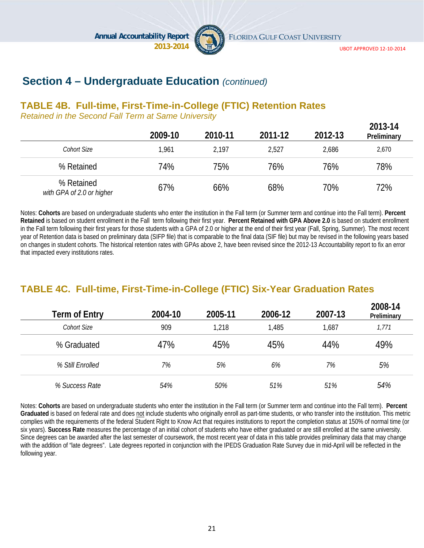

FLORIDA GULF COAST UNIVERSITY

**2013-14** 

### **Section 4 – Undergraduate Education** *(continued)*

#### **TABLE 4B. Full-time, First-Time-in-College (FTIC) Retention Rates**

*Retained in the Second Fall Term at Same University*

|                                         | 2009-10 | 2010-11 | 2011-12 | 2012-13 | 2013-14<br>Preliminary |
|-----------------------------------------|---------|---------|---------|---------|------------------------|
| Cohort Size                             | 1,961   | 2,197   | 2,527   | 2,686   | 2,670                  |
| % Retained                              | 74%     | 75%     | 76%     | 76%     | 78%                    |
| % Retained<br>with GPA of 2.0 or higher | 67%     | 66%     | 68%     | 70%     | 72%                    |

Notes: **Cohorts** are based on undergraduate students who enter the institution in the Fall term (or Summer term and continue into the Fall term). **Percent Retained** is based on student enrollment in the Fall term following their first year. **Percent Retained with GPA Above 2.0** is based on student enrollment in the Fall term following their first years for those students with a GPA of 2.0 or higher at the end of their first year (Fall, Spring, Summer). The most recent year of Retention data is based on preliminary data (SIFP file) that is comparable to the final data (SIF file) but may be revised in the following years based on changes in student cohorts. The historical retention rates with GPAs above 2, have been revised since the 2012-13 Accountability report to fix an error that impacted every institutions rates.

### **TABLE 4C. Full-time, First-Time-in-College (FTIC) Six-Year Graduation Rates**

| Term of Entry         | 2004-10 | 2005-11 | 2006-12 | 2007-13 | 2008-14<br>Preliminary |
|-----------------------|---------|---------|---------|---------|------------------------|
| Cohort Size           | 909     | 1,218   | 1,485   | 1,687   | 1,771                  |
| % Graduated           | 47%     | 45%     | 45%     | 44%     | 49%                    |
| % Still Enrolled      | 7%      | 5%      | 6%      | 7%      | 5%                     |
| <i>% Success Rate</i> | 54%     | 50%     | 51%     | 51%     | 54%                    |

Notes: **Cohorts** are based on undergraduate students who enter the institution in the Fall term (or Summer term and continue into the Fall term). **Percent Graduated** is based on federal rate and does not include students who originally enroll as part-time students, or who transfer into the institution. This metric complies with the requirements of the federal Student Right to Know Act that requires institutions to report the completion status at 150% of normal time (or six years). **Success Rate** measures the percentage of an initial cohort of students who have either graduated or are still enrolled at the same university. Since degrees can be awarded after the last semester of coursework, the most recent year of data in this table provides preliminary data that may change with the addition of "late degrees". Late degrees reported in conjunction with the IPEDS Graduation Rate Survey due in mid-April will be reflected in the following year.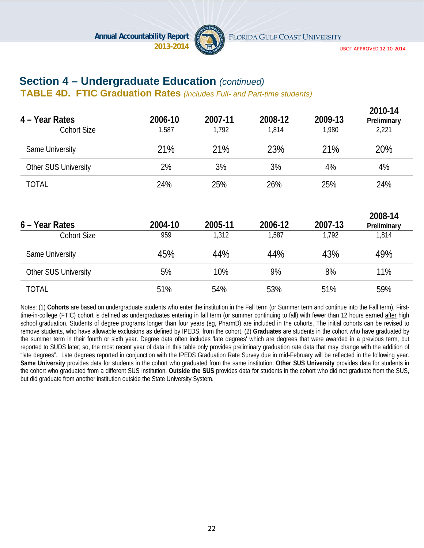

UBOT APPROVED 12‐10‐2014

### **Section 4 – Undergraduate Education** *(continued)*

**TABLE 4D. FTIC Graduation Rates** *(includes Full- and Part-time students)*

| 4 – Year Rates       | 2006-10 | 2007-11 | 2008-12 | 2009-13 | 2010-14<br>Preliminary |
|----------------------|---------|---------|---------|---------|------------------------|
| <b>Cohort Size</b>   | 1,587   | 1,792   | 1,814   | 1,980   | 2,221                  |
| Same University      | 21%     | 21%     | 23%     | 21%     | 20%                    |
| Other SUS University | 2%      | 3%      | 3%      | 4%      | 4%                     |
| <b>TOTAL</b>         | 24%     | 25%     | 26%     | 25%     | 24%                    |
| 6 – Year Rates       | 2004-10 | 2005-11 | 2006-12 | 2007-13 | 2008-14<br>Preliminary |
| <b>Cohort Size</b>   | 959     | 1,312   | 1,587   | 1,792   | 1,814                  |
| Same University      | 45%     | 44%     | 44%     | 43%     | 49%                    |
| Other SUS University | 5%      | 10%     | 9%      | 8%      | 11%                    |
| <b>TOTAL</b>         | 51%     | 54%     | 53%     | 51%     | 59%                    |

Notes: (1) Cohorts are based on undergraduate students who enter the institution in the Fall term (or Summer term and continue into the Fall term). Firsttime-in-college (FTIC) cohort is defined as undergraduates entering in fall term (or summer continuing to fall) with fewer than 12 hours earned after high school graduation. Students of degree programs longer than four years (eg, PharmD) are included in the cohorts. The initial cohorts can be revised to remove students, who have allowable exclusions as defined by IPEDS, from the cohort. (2) **Graduates** are students in the cohort who have graduated by the summer term in their fourth or sixth year. Degree data often includes 'late degrees' which are degrees that were awarded in a previous term, but reported to SUDS later; so, the most recent year of data in this table only provides preliminary graduation rate data that may change with the addition of "late degrees". Late degrees reported in conjunction with the IPEDS Graduation Rate Survey due in mid-February will be reflected in the following year. **Same University** provides data for students in the cohort who graduated from the same institution. **Other SUS University** provides data for students in the cohort who graduated from a different SUS institution. **Outside the SUS** provides data for students in the cohort who did not graduate from the SUS, but did graduate from another institution outside the State University System.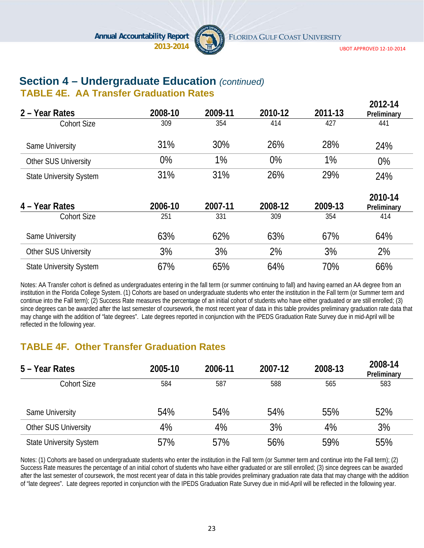

UBOT APPROVED 12‐10‐2014

**2012-14** 

# **Section 4 – Undergraduate Education** *(continued)*

### **TABLE 4E. AA Transfer Graduation Rates**

| 2 – Year Rates                 | 2008-10 | 2009-11 | 2010-12 | 2011-13 | ZU 1 Z - 14<br>Preliminary |
|--------------------------------|---------|---------|---------|---------|----------------------------|
| <b>Cohort Size</b>             | 309     | 354     | 414     | 427     | 441                        |
| Same University                | 31%     | 30%     | 26%     | 28%     | 24%                        |
| Other SUS University           | 0%      | 1%      | 0%      | 1%      | 0%                         |
| <b>State University System</b> | 31%     | 31%     | 26%     | 29%     | 24%                        |
| 4 - Year Rates                 | 2006-10 | 2007-11 | 2008-12 | 2009-13 | 2010-14<br>Preliminary     |
| <b>Cohort Size</b>             | 251     | 331     | 309     | 354     | 414                        |
| Same University                | 63%     | 62%     | 63%     | 67%     | 64%                        |
| Other SUS University           | 3%      | 3%      | 2%      | 3%      | 2%                         |
| <b>State University System</b> | 67%     | 65%     | 64%     | 70%     | 66%                        |

Notes: AA Transfer cohort is defined as undergraduates entering in the fall term (or summer continuing to fall) and having earned an AA degree from an institution in the Florida College System. (1) Cohorts are based on undergraduate students who enter the institution in the Fall term (or Summer term and continue into the Fall term); (2) Success Rate measures the percentage of an initial cohort of students who have either graduated or are still enrolled; (3) since degrees can be awarded after the last semester of coursework, the most recent year of data in this table provides preliminary graduation rate data that may change with the addition of "late degrees". Late degrees reported in conjunction with the IPEDS Graduation Rate Survey due in mid-April will be reflected in the following year.

### **TABLE 4F. Other Transfer Graduation Rates**

| 5 – Year Rates                 | 2005-10 | 2006-11 | 2007-12 | 2008-13 | 2008-14<br>Preliminary |
|--------------------------------|---------|---------|---------|---------|------------------------|
| <b>Cohort Size</b>             | 584     | 587     | 588     | 565     | 583                    |
| Same University                | 54%     | 54%     | 54%     | 55%     | 52%                    |
| <b>Other SUS University</b>    | 4%      | 4%      | 3%      | 4%      | 3%                     |
| <b>State University System</b> | 57%     | 57%     | 56%     | 59%     | 55%                    |

Notes: (1) Cohorts are based on undergraduate students who enter the institution in the Fall term (or Summer term and continue into the Fall term); (2) Success Rate measures the percentage of an initial cohort of students who have either graduated or are still enrolled; (3) since degrees can be awarded after the last semester of coursework, the most recent year of data in this table provides preliminary graduation rate data that may change with the addition of "late degrees". Late degrees reported in conjunction with the IPEDS Graduation Rate Survey due in mid-April will be reflected in the following year.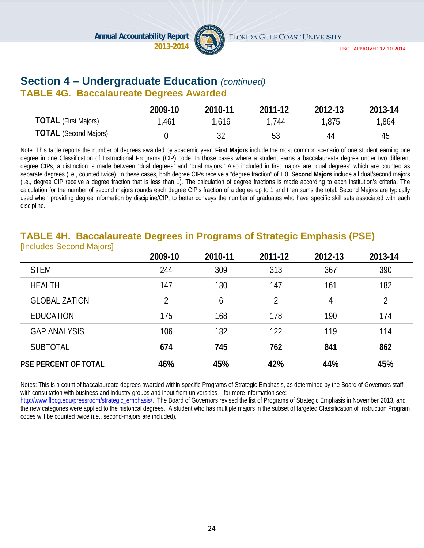

### **Section 4 – Undergraduate Education** *(continued)*

#### **TABLE 4G. Baccalaureate Degrees Awarded**

|                              | 2009-10 | 2010-11 | 2011-12 | 2012-13 | 2013-14 |
|------------------------------|---------|---------|---------|---------|---------|
| <b>TOTAL</b> (First Majors)  | 1,461   | 1,616   | 744     | 1,875   | 1,864   |
| <b>TOTAL</b> (Second Majors) |         |         | 53      | 44      | 45      |

Note: This table reports the number of degrees awarded by academic year. **First Majors** include the most common scenario of one student earning one degree in one Classification of Instructional Programs (CIP) code. In those cases where a student earns a baccalaureate degree under two different degree CIPs, a distinction is made between "dual degrees" and "dual majors." Also included in first majors are "dual degrees" which are counted as separate degrees (i.e., counted twice). In these cases, both degree CIPs receive a "degree fraction" of 1.0. **Second Majors** include all dual/second majors (i.e., degree CIP receive a degree fraction that is less than 1). The calculation of degree fractions is made according to each institution's criteria. The calculation for the number of second majors rounds each degree CIP's fraction of a degree up to 1 and then sums the total. Second Majors are typically used when providing degree information by discipline/CIP, to better conveys the number of graduates who have specific skill sets associated with each discipline.

#### **TABLE 4H. Baccalaureate Degrees in Programs of Strategic Emphasis (PSE)**  [Includes Second Majors]

|                             | 2009-10 | 2010-11 | 2011-12        | 2012-13 | 2013-14 |
|-----------------------------|---------|---------|----------------|---------|---------|
| <b>STEM</b>                 | 244     | 309     | 313            | 367     | 390     |
| <b>HEALTH</b>               | 147     | 130     | 147            | 161     | 182     |
| <b>GLOBALIZATION</b>        | 2       | 6       | $\overline{2}$ | 4       | 2       |
| <b>EDUCATION</b>            | 175     | 168     | 178            | 190     | 174     |
| <b>GAP ANALYSIS</b>         | 106     | 132     | 122            | 119     | 114     |
| <b>SUBTOTAL</b>             | 674     | 745     | 762            | 841     | 862     |
| <b>PSE PERCENT OF TOTAL</b> | 46%     | 45%     | 42%            | 44%     | 45%     |

Notes: This is a count of baccalaureate degrees awarded within specific Programs of Strategic Emphasis, as determined by the Board of Governors staff with consultation with business and industry groups and input from universities – for more information see:

http://www.flbog.edu/pressroom/strategic\_emphasis/. The Board of Governors revised the list of Programs of Strategic Emphasis in November 2013, and the new categories were applied to the historical degrees. A student who has multiple majors in the subset of targeted Classification of Instruction Program codes will be counted twice (i.e., second-majors are included).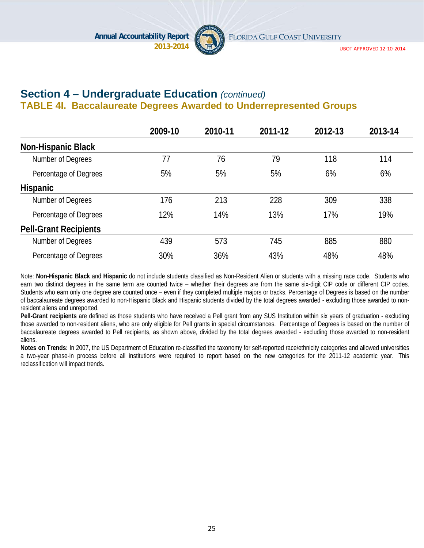

UBOT APPROVED 12‐10‐2014

### **Section 4 – Undergraduate Education** *(continued)* **TABLE 4I. Baccalaureate Degrees Awarded to Underrepresented Groups**

|                              | 2009-10 | 2010-11 | 2011-12 | 2012-13 | 2013-14 |
|------------------------------|---------|---------|---------|---------|---------|
| <b>Non-Hispanic Black</b>    |         |         |         |         |         |
| Number of Degrees            | 77      | 76      | 79      | 118     | 114     |
| Percentage of Degrees        | 5%      | 5%      | 5%      | 6%      | 6%      |
| <b>Hispanic</b>              |         |         |         |         |         |
| Number of Degrees            | 176     | 213     | 228     | 309     | 338     |
| Percentage of Degrees        | 12%     | 14%     | 13%     | 17%     | 19%     |
| <b>Pell-Grant Recipients</b> |         |         |         |         |         |
| Number of Degrees            | 439     | 573     | 745     | 885     | 880     |
| Percentage of Degrees        | 30%     | 36%     | 43%     | 48%     | 48%     |

Note: **Non-Hispanic Black** and **Hispanic** do not include students classified as Non-Resident Alien or students with a missing race code. Students who earn two distinct degrees in the same term are counted twice – whether their degrees are from the same six-digit CIP code or different CIP codes. Students who earn only one degree are counted once – even if they completed multiple majors or tracks. Percentage of Degrees is based on the number of baccalaureate degrees awarded to non-Hispanic Black and Hispanic students divided by the total degrees awarded - excluding those awarded to nonresident aliens and unreported.

**Pell-Grant recipients** are defined as those students who have received a Pell grant from any SUS Institution within six years of graduation - excluding those awarded to non-resident aliens, who are only eligible for Pell grants in special circumstances. Percentage of Degrees is based on the number of baccalaureate degrees awarded to Pell recipients, as shown above, divided by the total degrees awarded - excluding those awarded to non-resident aliens.

**Notes on Trends:** In 2007, the US Department of Education re-classified the taxonomy for self-reported race/ethnicity categories and allowed universities a two-year phase-in process before all institutions were required to report based on the new categories for the 2011-12 academic year. This reclassification will impact trends.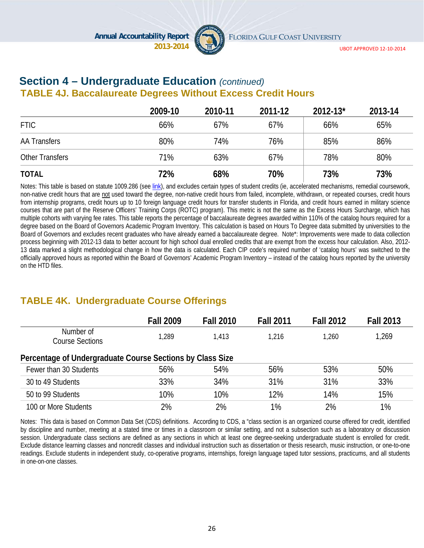

#### **Section 4 – Undergraduate Education** *(continued)*  **TABLE 4J. Baccalaureate Degrees Without Excess Credit Hours**

|                        | 2009-10 | 2010-11 | 2011-12 | $2012 - 13$ * | 2013-14 |
|------------------------|---------|---------|---------|---------------|---------|
| <b>FTIC</b>            | 66%     | 67%     | 67%     | 66%           | 65%     |
| <b>AA Transfers</b>    | 80%     | 74%     | 76%     | 85%           | 86%     |
| <b>Other Transfers</b> | 71%     | 63%     | 67%     | 78%           | 80%     |
| <b>TOTAL</b>           | 72%     | 68%     | 70%     | 73%           | 73%     |

Notes: This table is based on statute 1009.286 (see link), and excludes certain types of student credits (ie, accelerated mechanisms, remedial coursework, non-native credit hours that are not used toward the degree, non-native credit hours from failed, incomplete, withdrawn, or repeated courses, credit hours from internship programs, credit hours up to 10 foreign language credit hours for transfer students in Florida, and credit hours earned in military science courses that are part of the Reserve Officers' Training Corps (ROTC) program). This metric is not the same as the Excess Hours Surcharge, which has multiple cohorts with varying fee rates. This table reports the percentage of baccalaureate degrees awarded within 110% of the catalog hours required for a degree based on the Board of Governors Academic Program Inventory. This calculation is based on Hours To Degree data submitted by universities to the Board of Governors and excludes recent graduates who have already earned a baccalaureate degree. Note\*: Improvements were made to data collection process beginning with 2012-13 data to better account for high school dual enrolled credits that are exempt from the excess hour calculation. Also, 2012- 13 data marked a slight methodological change in how the data is calculated. Each CIP code's required number of 'catalog hours' was switched to the officially approved hours as reported within the Board of Governors' Academic Program Inventory – instead of the catalog hours reported by the university on the HTD files.

### **TABLE 4K. Undergraduate Course Offerings**

|                                                           | <b>Fall 2009</b> | <b>Fall 2010</b> | <b>Fall 2011</b> | <b>Fall 2012</b> | <b>Fall 2013</b> |
|-----------------------------------------------------------|------------------|------------------|------------------|------------------|------------------|
| Number of<br><b>Course Sections</b>                       | 1,289            | 1.413            | 1.216            | 1,260            | 1,269            |
| Percentage of Undergraduate Course Sections by Class Size |                  |                  |                  |                  |                  |
| Fewer than 30 Students                                    | 56%              | 54%              | 56%              | 53%              | 50%              |
| 30 to 49 Students                                         | 33%              | 34%              | 31%              | 31%              | 33%              |
| 50 to 99 Students                                         | 10%              | 10%              | 12%              | 14%              | 15%              |
| 100 or More Students                                      | 2%               | 2%               | 1%               | 2%               | 1%               |

Notes: This data is based on Common Data Set (CDS) definitions. According to CDS, a "class section is an organized course offered for credit, identified by discipline and number, meeting at a stated time or times in a classroom or similar setting, and not a subsection such as a laboratory or discussion session. Undergraduate class sections are defined as any sections in which at least one degree-seeking undergraduate student is enrolled for credit. Exclude distance learning classes and noncredit classes and individual instruction such as dissertation or thesis research, music instruction, or one-to-one readings. Exclude students in independent study, co-operative programs, internships, foreign language taped tutor sessions, practicums, and all students in one-on-one classes.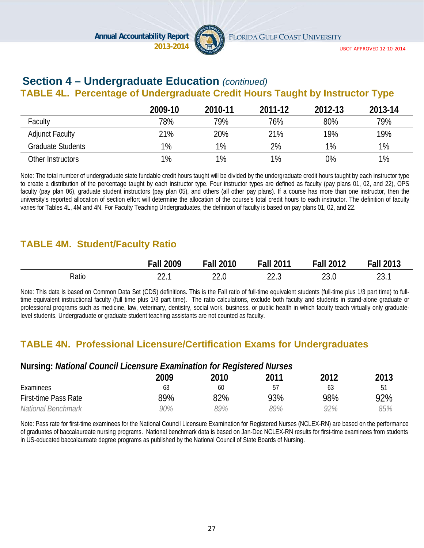

# **Section 4 – Undergraduate Education** *(continued)*

### **TABLE 4L. Percentage of Undergraduate Credit Hours Taught by Instructor Type**

|                          | 2009-10 | 2010-11 | 2011-12 | 2012-13 | 2013-14 |
|--------------------------|---------|---------|---------|---------|---------|
| Faculty                  | 78%     | 79%     | 76%     | 80%     | 79%     |
| <b>Adjunct Faculty</b>   | 21%     | 20%     | 21%     | 19%     | 19%     |
| <b>Graduate Students</b> | 1%      | $1\%$   | 2%      | $1\%$   | 1%      |
| Other Instructors        | 1%      | 1%      | 1%      | $0\%$   | 1%      |

Note: The total number of undergraduate state fundable credit hours taught will be divided by the undergraduate credit hours taught by each instructor type to create a distribution of the percentage taught by each instructor type. Four instructor types are defined as faculty (pay plans 01, 02, and 22), OPS faculty (pay plan 06), graduate student instructors (pay plan 05), and others (all other pay plans). If a course has more than one instructor, then the university's reported allocation of section effort will determine the allocation of the course's total credit hours to each instructor. The definition of faculty varies for Tables 4L, 4M and 4N. For Faculty Teaching Undergraduates, the definition of faculty is based on pay plans 01, 02, and 22.

### **TABLE 4M. Student/Faculty Ratio**

|       | . all<br>2009 | Fall<br>2010 | <b>Fall 2011</b> | <b>Fall 2012</b> | <b>Fall 2013</b> |
|-------|---------------|--------------|------------------|------------------|------------------|
| Ratio | ົ             | $\cap$       | nn.              | ົ                | ົ                |
|       |               | 22.U         | LL.J             | ∠∪.∪             | 23. l            |

Note: This data is based on Common Data Set (CDS) definitions. This is the Fall ratio of full-time equivalent students (full-time plus 1/3 part time) to fulltime equivalent instructional faculty (full time plus 1/3 part time). The ratio calculations, exclude both faculty and students in stand-alone graduate or professional programs such as medicine, law, veterinary, dentistry, social work, business, or public health in which faculty teach virtually only graduatelevel students. Undergraduate or graduate student teaching assistants are not counted as faculty.

#### **TABLE 4N. Professional Licensure/Certification Exams for Undergraduates**

#### **Nursing:** *National Council Licensure Examination for Registered Nurses*

|                             | 2009 | 2010 | 2011 | 2012 | 2013 |
|-----------------------------|------|------|------|------|------|
| Examinees                   | ხა   | 60   | 57   | 63   | 51   |
| <b>First-time Pass Rate</b> | 89%  | 82%  | 93%  | 98%  | 92%  |
| National Benchmark          | 90%  | 99%  | 89%  | 92%  | 85%  |

Note: Pass rate for first-time examinees for the National Council Licensure Examination for Registered Nurses (NCLEX-RN) are based on the performance of graduates of baccalaureate nursing programs. National benchmark data is based on Jan-Dec NCLEX-RN results for first-time examinees from students in US-educated baccalaureate degree programs as published by the National Council of State Boards of Nursing.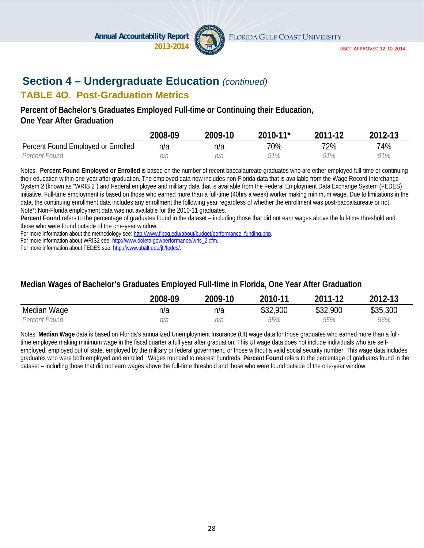

UBOT APPROVED 12‐10‐2014

### **Section 4 – Undergraduate Education** *(continued)*

### **TABLE 4O. Post-Graduation Metrics**

#### **Percent of Bachelor's Graduates Employed Full-time or Continuing their Education, One Year After Graduation**

|                                    | 2008-09 | 2009-10 | 2010-11* | 2011-12 | 2012-13 |
|------------------------------------|---------|---------|----------|---------|---------|
| Percent Found Employed or Enrolled | n/a     | n/a     | 70%      | 72%     | 74%     |
| Percent Found                      | n/a     | n/a     | 91%      | 91%     | 91%     |

Notes: **Percent Found Employed or Enrolled** is based on the number of recent baccalaureate graduates who are either employed full-time or continuing their education within one year after graduation. The employed data now includes non-Florida data that is available from the Wage Record Interchange System 2 (known as "WRIS 2") and Federal employee and military data that is available from the Federal Employment Data Exchange System (FEDES) initiative. Full-time employment is based on those who earned more than a full-time (40hrs a week) worker making minimum wage. Due to limitations in the data, the continuing enrollment data includes any enrollment the following year regardless of whether the enrollment was post-baccalaureate or not. Note\*: Non-Florida employment data was not available for the 2010-11 graduates.

**Percent Found** refers to the percentage of graduates found in the dataset – including those that did not earn wages above the full-time threshold and those who were found outside of the one-year window.

For more information about the methodology see: http://www.flbog.edu/about/budget/performance\_funding.php.

For more information about WRIS2 see: http://www.doleta.gov/performance/wris\_2.cfm.

For more information about FEDES see: http://www.ubalt.edu/jfi/fedes/.

#### **Median Wages of Bachelor's Graduates Employed Full-time in Florida, One Year After Graduation**

|               | 2008-09 | 2009-10 | 2010-11  | 2011-12  | 2012-13  |
|---------------|---------|---------|----------|----------|----------|
| Median Wage   | n/a     | n/a     | \$32,900 | \$32,900 | \$35,300 |
| Percent Found | n/a     | n/a     | 55%      | 55%      | 56%      |

Notes: **Median Wage** data is based on Florida's annualized Unemployment Insurance (UI) wage data for those graduates who earned more than a fulltime employee making minimum wage in the fiscal quarter a full year after graduation. This UI wage data does not include individuals who are selfemployed, employed out of state, employed by the military or federal government, or those without a valid social security number. This wage data includes graduates who were both employed and enrolled. Wages rounded to nearest hundreds. **Percent Found** refers to the percentage of graduates found in the dataset – including those that did not earn wages above the full-time threshold and those who were found outside of the one-year window.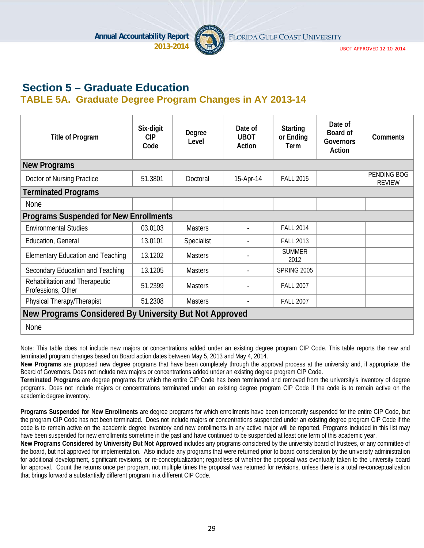

UBOT APPROVED 12‐10‐2014

### **Section 5 – Graduate Education TABLE 5A. Graduate Degree Program Changes in AY 2013-14**

| <b>Title of Program</b>                                | Six-digit<br><b>CIP</b><br>Code | Degree<br>Level | Date of<br><b>UBOT</b><br>Action | <b>Starting</b><br>or Ending<br>Term | Date of<br>Board of<br>Governors<br>Action | Comments                     |  |  |
|--------------------------------------------------------|---------------------------------|-----------------|----------------------------------|--------------------------------------|--------------------------------------------|------------------------------|--|--|
| <b>New Programs</b>                                    |                                 |                 |                                  |                                      |                                            |                              |  |  |
| Doctor of Nursing Practice                             | 51.3801                         | Doctoral        | 15-Apr-14                        | <b>FALL 2015</b>                     |                                            | PENDING BOG<br><b>REVIEW</b> |  |  |
| <b>Terminated Programs</b>                             |                                 |                 |                                  |                                      |                                            |                              |  |  |
| <b>None</b>                                            |                                 |                 |                                  |                                      |                                            |                              |  |  |
| <b>Programs Suspended for New Enrollments</b>          |                                 |                 |                                  |                                      |                                            |                              |  |  |
| <b>Environmental Studies</b>                           | 03.0103                         | <b>Masters</b>  |                                  | <b>FALL 2014</b>                     |                                            |                              |  |  |
| Education, General                                     | 13.0101                         | Specialist      |                                  | <b>FALL 2013</b>                     |                                            |                              |  |  |
| <b>Elementary Education and Teaching</b>               | 13.1202                         | <b>Masters</b>  |                                  | <b>SUMMER</b><br>2012                |                                            |                              |  |  |
| Secondary Education and Teaching                       | 13.1205                         | <b>Masters</b>  | ٠                                | <b>SPRING 2005</b>                   |                                            |                              |  |  |
| Rehabilitation and Therapeutic<br>Professions, Other   | 51.2399                         | <b>Masters</b>  |                                  | <b>FALL 2007</b>                     |                                            |                              |  |  |
| Physical Therapy/Therapist                             | 51.2308                         | <b>Masters</b>  |                                  | <b>FALL 2007</b>                     |                                            |                              |  |  |
| New Programs Considered By University But Not Approved |                                 |                 |                                  |                                      |                                            |                              |  |  |
| None                                                   |                                 |                 |                                  |                                      |                                            |                              |  |  |

Note: This table does not include new majors or concentrations added under an existing degree program CIP Code. This table reports the new and terminated program changes based on Board action dates between May 5, 2013 and May 4, 2014.

**New Programs** are proposed new degree programs that have been completely through the approval process at the university and, if appropriate, the Board of Governors. Does not include new majors or concentrations added under an existing degree program CIP Code.

**Terminated Programs** are degree programs for which the entire CIP Code has been terminated and removed from the university's inventory of degree programs. Does not include majors or concentrations terminated under an existing degree program CIP Code if the code is to remain active on the academic degree inventory.

**Programs Suspended for New Enrollments** are degree programs for which enrollments have been temporarily suspended for the entire CIP Code, but the program CIP Code has not been terminated. Does not include majors or concentrations suspended under an existing degree program CIP Code if the code is to remain active on the academic degree inventory and new enrollments in any active major will be reported. Programs included in this list may have been suspended for new enrollments sometime in the past and have continued to be suspended at least one term of this academic year.

**New Programs Considered by University But Not Approved** includes any programs considered by the university board of trustees, or any committee of the board, but not approved for implementation. Also include any programs that were returned prior to board consideration by the university administration for additional development, significant revisions, or re-conceptualization; regardless of whether the proposal was eventually taken to the university board for approval. Count the returns once per program, not multiple times the proposal was returned for revisions, unless there is a total re-conceptualization that brings forward a substantially different program in a different CIP Code.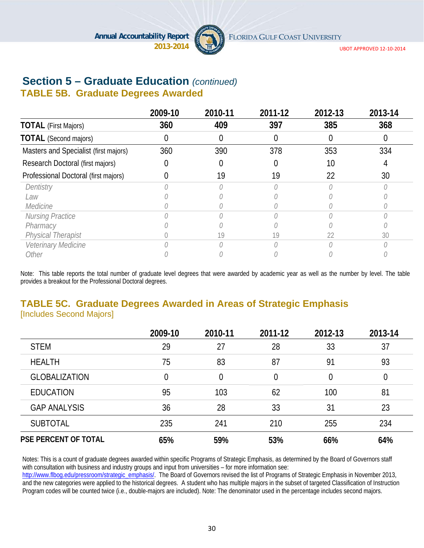

UBOT APPROVED 12‐10‐2014

# **Section 5 – Graduate Education** *(continued)*

### **TABLE 5B. Graduate Degrees Awarded**

|                                       | 2009-10 | 2010-11 | 2011-12 | 2012-13 | 2013-14 |
|---------------------------------------|---------|---------|---------|---------|---------|
| <b>TOTAL</b> (First Majors)           | 360     | 409     | 397     | 385     | 368     |
| <b>TOTAL</b> (Second majors)          |         |         |         |         |         |
| Masters and Specialist (first majors) | 360     | 390     | 378     | 353     | 334     |
| Research Doctoral (first majors)      |         |         |         | 10      |         |
| Professional Doctoral (first majors)  |         | 19      | 19      | 22      | 30      |
| Dentistry                             |         |         |         |         |         |
| Law                                   |         |         |         |         |         |
| Medicine                              |         |         |         |         |         |
| Nursing Practice                      |         |         |         |         |         |
| Pharmacy                              |         |         |         |         |         |
| <b>Physical Therapist</b>             |         | 19      | 19      | 22      | 30      |
| Veterinary Medicine                   |         |         |         |         |         |
| Other                                 |         |         |         |         |         |

Note: This table reports the total number of graduate level degrees that were awarded by academic year as well as the number by level. The table provides a breakout for the Professional Doctoral degrees.

#### **TABLE 5C. Graduate Degrees Awarded in Areas of Strategic Emphasis**  [Includes Second Majors]

|                             | 2009-10  | 2010-11 | 2011-12        | 2012-13 | 2013-14  |
|-----------------------------|----------|---------|----------------|---------|----------|
| <b>STEM</b>                 | 29       | 27      | 28             | 33      | 37       |
| <b>HEALTH</b>               | 75       | 83      | 87             | 91      | 93       |
| <b>GLOBALIZATION</b>        | $\theta$ | 0       | $\overline{0}$ |         | $\theta$ |
| <b>EDUCATION</b>            | 95       | 103     | 62             | 100     | 81       |
| <b>GAP ANALYSIS</b>         | 36       | 28      | 33             | 31      | 23       |
| <b>SUBTOTAL</b>             | 235      | 241     | 210            | 255     | 234      |
| <b>PSE PERCENT OF TOTAL</b> | 65%      | 59%     | 53%            | 66%     | 64%      |

Notes: This is a count of graduate degrees awarded within specific Programs of Strategic Emphasis, as determined by the Board of Governors staff with consultation with business and industry groups and input from universities – for more information see:

http://www.flbog.edu/pressroom/strategic\_emphasis/. The Board of Governors revised the list of Programs of Strategic Emphasis in November 2013, and the new categories were applied to the historical degrees. A student who has multiple majors in the subset of targeted Classification of Instruction Program codes will be counted twice (i.e., double-majors are included). Note: The denominator used in the percentage includes second majors.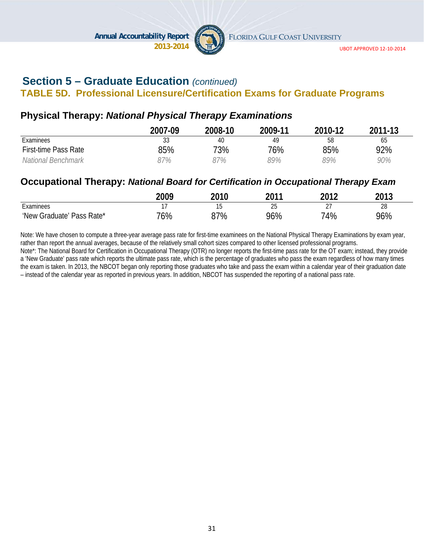

### **Section 5 – Graduate Education** *(continued)*

### **TABLE 5D. Professional Licensure/Certification Exams for Graduate Programs**

### **Physical Therapy:** *National Physical Therapy Examinations*

|                      | 2007-09 | 2008-10 | 2009-11 | 2010-12 | 2011-13 |
|----------------------|---------|---------|---------|---------|---------|
| Examinees            | २२      | 40      | 49      | 58      | 65      |
| First-time Pass Rate | 85%     | 73%     | 76%     | 85%     | 92%     |
| National Benchmark   | 87%     | 97%     | 89%     | 89%     | 90%     |

### **Occupational Therapy:** *National Board for Certification in Occupational Therapy Exam*

|                           | 2009 | 2010 | ንበ11<br>∠∪ | วกาว                 | 2013 |
|---------------------------|------|------|------------|----------------------|------|
| Examinees                 |      | J    | つに<br>∠J   | $\sim$ -<br><u>.</u> | 28   |
| 'New Graduate' Pass Rate* | 76%  | 37%  | 96%        | 74%                  | 96%  |

Note: We have chosen to compute a three-year average pass rate for first-time examinees on the National Physical Therapy Examinations by exam year, rather than report the annual averages, because of the relatively small cohort sizes compared to other licensed professional programs.

Note\*: The National Board for Certification in Occupational Therapy (OTR) no longer reports the first-time pass rate for the OT exam; instead, they provide a 'New Graduate' pass rate which reports the ultimate pass rate, which is the percentage of graduates who pass the exam regardless of how many times the exam is taken. In 2013, the NBCOT began only reporting those graduates who take and pass the exam within a calendar year of their graduation date – instead of the calendar year as reported in previous years. In addition, NBCOT has suspended the reporting of a national pass rate.